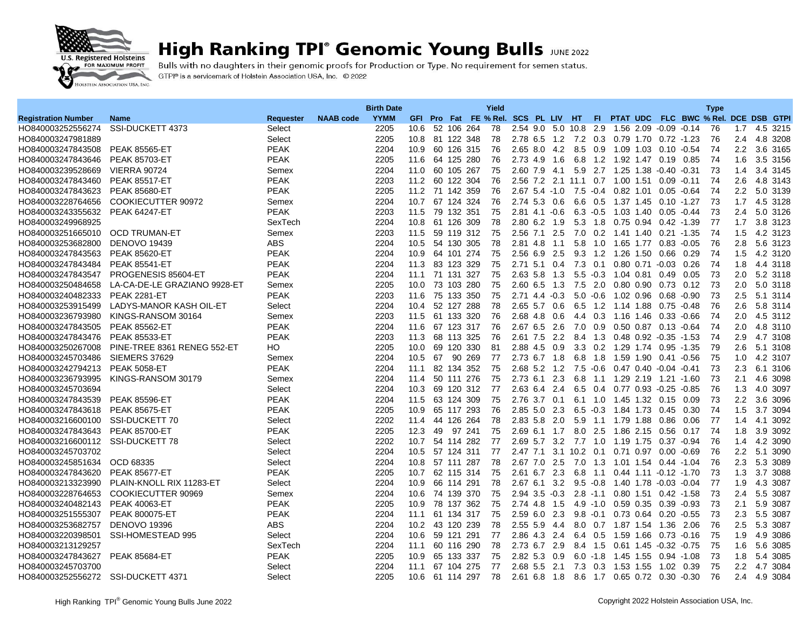

## **High Ranking TPI° Genomic Young Bulls JUNE 2022**

Bulls with no daughters in their genomic proofs for Production or Type. No requirement for semen status. GTPI® is a servicemark of Holstein Association USA, Inc. © 2022

|                                    |                              |                  |                  | <b>Birth Date</b> |                   |    |            |            | Yield                               |                    |                    |                   |                 |                                  |      |                               |                                         | <b>Type</b> |               |          |
|------------------------------------|------------------------------|------------------|------------------|-------------------|-------------------|----|------------|------------|-------------------------------------|--------------------|--------------------|-------------------|-----------------|----------------------------------|------|-------------------------------|-----------------------------------------|-------------|---------------|----------|
| <b>Registration Number</b>         | <b>Name</b>                  | <b>Requester</b> | <b>NAAB</b> code | <b>YYMM</b>       |                   |    |            |            | GFI Pro Fat FE % Rel. SCS PL LIV HT |                    |                    |                   |                 |                                  |      |                               | FI PTAT UDC FLC BWC % Rel. DCE DSB GTPI |             |               |          |
| HO840003252556274                  | SSI-DUCKETT 4373             | Select           |                  | 2205              | 10.6              |    |            | 52 106 264 | 78                                  |                    |                    | 2.54 9.0 5.0 10.8 | -2.9            |                                  |      | 1.56 2.09 -0.09 -0.14         |                                         | 76          | 1.7           | 4.5 3215 |
| HO840003247981889                  |                              | Select           |                  | 2205              | 10.8              |    | 81 122 348 |            | 78                                  |                    | $2.78$ 6.5 1.2     | 7.2               | 0.3             | 0.79 1.70                        |      | $0.72 - 1.23$                 |                                         | 76          | 2.4           | 4.8 3208 |
| HO840003247843508                  | <b>PEAK 85565-ET</b>         | <b>PEAK</b>      |                  | 2204              | 10.9              |    | 60 126 315 |            | 76                                  |                    | $2.65$ 8.0 4.2     | 8.5               | 0.9             | 1.09 1.03                        |      | 0.10 -0.54                    |                                         | 74          | $2.2^{\circ}$ | 3.6 3165 |
| HO840003247843646                  | <b>PEAK 85703-ET</b>         | <b>PEAK</b>      |                  | 2205              | 11.6              |    | 64 125 280 |            | 76                                  | 2.73 4.9           | 1.6                | 6.8               | 1.2             | 1.92 1.47                        |      | $0.19$ 0.85                   |                                         | 74          | 1.6           | 3.5 3156 |
| HO840003239528669                  | <b>VIERRA 90724</b>          | Semex            |                  | 2204              | 11.0              |    | 60 105 267 |            | 75                                  | 2.60 7.9           | - 4.1              |                   | 5.9 2.7         | 1.25 1.38                        |      | $-0.40 -0.31$                 |                                         | 73          | 1.4           | 3.4 3145 |
| HO840003247843460                  | <b>PEAK 85517-ET</b>         | <b>PEAK</b>      |                  | 2203              | 11.2              |    | 60 122 304 |            | 76                                  | 2.56 7.2 2.1       |                    | 11.1              | 0.7             | 1.00 1.51                        |      | $0.09 - 0.11$                 |                                         | 74          | 2.6           | 4.8 3143 |
| HO840003247843623                  | PEAK 85680-ET                | <b>PEAK</b>      |                  | 2205              | 11.2              |    | 71 142 359 |            | 76                                  | $2.67$ 5.4 $-1.0$  |                    | $7.5 - 0.4$       |                 | 0.82 1.01                        |      | $0.05 - 0.64$                 |                                         | 74          | $2.2\,$       | 5.0 3139 |
| HO840003228764656                  | <b>COOKIECUTTER 90972</b>    | Semex            |                  | 2204              | 10.7              |    | 67 124 324 |            | 76                                  |                    | $2.74$ 5.3 0.6     |                   |                 | 6.6 0.5 1.37 1.45                |      | $0.10 - 1.27$                 |                                         | 73          | 1.7           | 4.5 3128 |
| HO840003243355632                  | <b>PEAK 64247-ET</b>         | <b>PEAK</b>      |                  | 2203              | 11.5              |    | 79 132 351 |            | 75                                  | $2.81$ 4.1 $-0.6$  |                    | $6.3 - 0.5$       |                 | 1.03 1.40                        |      | $0.05 - 0.44$                 |                                         | 73          | 2.4           | 5.0 3126 |
| HO840003249968925                  |                              | SexTech          |                  | 2204              | 10.8              |    | 61 126 309 |            | 78                                  | $2.80$ 6.2         | 1.9                | 5.3               | 1.8             | 0.75 0.94                        |      | 0.42 -1.39                    |                                         | 77          | 1.7           | 3.8 3123 |
| HO840003251665010                  | <b>OCD TRUMAN-ET</b>         | Semex            |                  | 2203              | 11.5              |    | 59 119 312 |            | 75                                  | 2.56 7.1           | 2.5                | 7.0               |                 | 0.2 1.41 1.40                    |      | $0.21 - 1.35$                 |                                         | 74          | 1.5           | 4.2 3123 |
| HO840003253682800                  | <b>DENOVO 19439</b>          | <b>ABS</b>       |                  | 2204              | 10.5              |    | 54 130 305 |            | 78                                  | 2.81 4.8           | 1.1                | 5.8               | 1.0             | 1.65                             | 1.77 | $0.83 - 0.05$                 |                                         | 76          | 2.8           | 5.6 3123 |
| HO840003247843563                  | <b>PEAK 85620-ET</b>         | <b>PEAK</b>      |                  | 2204              | 10.9              |    | 64 101 274 |            | 75                                  | 2.56 6.9 2.5       |                    |                   |                 | 9.3 1.2 1.26 1.50                |      | $0.66$ 0.29                   |                                         | 74          | 1.5           | 4.2 3120 |
| HO840003247843484                  | <b>PEAK 85541-ET</b>         | <b>PEAK</b>      |                  | 2204              | 11.3              |    | 83 123 329 |            | 75                                  | $2.71$ 5.1         | 0.4                | 7.3               | 0.1             |                                  |      | 0.80 0.71 -0.03 0.26          |                                         | 74          | 1.8           | 4.4 3118 |
| HO840003247843547                  | PROGENESIS 85604-ET          | <b>PEAK</b>      |                  | 2204              | 11.1              |    | 71 131     | -327       | 75                                  | 2.63 5.8           | 1.3                | 5.5               | $-0.3$          | 1.04 0.81                        |      | 0.49                          | 0.05                                    | 73          | 2.0           | 5.2 3118 |
| HO840003250484658                  | LA-CA-DE-LE GRAZIANO 9928-ET | Semex            |                  | 2205              | 10.0              |    | 73 103 280 |            | 75                                  |                    | $2.60$ 6.5 1.3     | 7.5               | 2.0             | 0.80 0.90                        |      | $0.73$ 0.12                   |                                         | 73          | $2.0\,$       | 5.0 3118 |
| HO840003240482333                  | <b>PEAK 2281-ET</b>          | <b>PEAK</b>      |                  | 2203              | 11.6              |    | 75 133 350 |            | 75                                  | $2.71$ 4.4 $-0.3$  |                    | 5.0               | $-0.6$          | 1.02 0.96                        |      | $0.68 - 0.90$                 |                                         | 73          | 2.5           | 5.1 3114 |
| HO840003253915499                  | LADYS-MANOR KASH OIL-ET      | Select           |                  | 2204              | 10.4              |    | 52 127 288 |            | 78                                  | 2.65 5.7           | 0.6                | 6.5               | 1.2             | 1.14 1.88                        |      | $0.75 - 0.48$                 |                                         | 76          | 2.6           | 5.8 3114 |
| HO840003236793980                  | KINGS-RANSOM 30164           | Semex            |                  | 2203              | 11.5              |    | 61 133 320 |            | 76                                  | 2.68 4.8 0.6       |                    |                   |                 | 4.4 0.3 1.16 1.46                |      | $0.33 - 0.66$                 |                                         | 74          | 2.0           | 4.5 3112 |
| HO840003247843505                  | <b>PEAK 85562-ET</b>         | <b>PEAK</b>      |                  | 2204              | 11.6              |    | 67 123 317 |            | 76                                  | 2.67 6.5           | 2.6                | 7.0               | 0.9             | 0.50 0.87                        |      | $0.13 - 0.64$                 |                                         | 74          | 2.0           | 4.8 3110 |
| HO840003247843476                  | <b>PEAK 85533-ET</b>         | <b>PEAK</b>      |                  | 2203              | 11.3              |    | 68 113 325 |            | 76                                  |                    | $2.61$ $7.5$ $2.2$ | 8.4 1.3           |                 |                                  |      | $0.48$ $0.92$ $-0.35$ $-1.53$ |                                         | 74          | 2.9           | 4.7 3108 |
| HO840003250267008                  | PINE-TREE 8361 RENEG 552-ET  | HO               |                  | 2205              | 10.0              |    | 69 120 330 |            | 81                                  | 2.88 4.5 0.9       |                    |                   | $3.3 \quad 0.2$ | 1.29 1.74                        |      | $0.95 - 1.35$                 |                                         | 79          | 2.6           | 5.1 3108 |
| HO840003245703486                  | SIEMERS 37629                | Semex            |                  | 2204              | 10.5              | 67 |            | 90 269     | 77                                  | 2.73 6.7 1.8       |                    | 6.8               | 1.8             | 1.59 1.90                        |      | 0.41                          | -0.56                                   | 75          | 1.0           | 4.2 3107 |
| HO840003242794213                  | <b>PEAK 5058-ET</b>          | <b>PEAK</b>      |                  | 2204              | 11.1              |    | 82 134 352 |            | 75                                  |                    | 2.68 5.2 1.2       | 7.5               |                 | $-0.6$ 0.47 0.40 $-0.04$ $-0.41$ |      |                               |                                         | 73          | 2.3           | 6.1 3106 |
| HO840003236793995                  | KINGS-RANSOM 30179           | Semex            |                  | 2204              | 11.4              |    | 50 111 276 |            | 75                                  | 2.73 6.1           | 2.3                | 6.8               | 1.1             | 1.29 2.19                        |      | 1.21                          | -1.60                                   | 73          | 2.1           | 4.6 3098 |
| HO840003245703694                  |                              | Select           |                  | 2204              | 10.3              | 69 |            | 120 312    | 77                                  | 2.63 6.4           | 2.4                | 6.5               | 0.4             | 0.77 0.93 -0.25 -0.85            |      |                               |                                         | 76          | 1.3           | 4.0 3097 |
| HO840003247843539                  | <b>PEAK 85596-ET</b>         | <b>PEAK</b>      |                  | 2204              | 11.5              |    | 63 124 309 |            | 75                                  | 2.76 3.7 0.1       |                    |                   | $6.1 \quad 1.0$ | 1.45 1.32                        |      | $0.15$ 0.09                   |                                         | 73          | $2.2\,$       | 3.6 3096 |
| HO840003247843618                  | <b>PEAK 85675-ET</b>         | <b>PEAK</b>      |                  | 2205              | 10.9              |    | 65 117 293 |            | 76                                  | $2.85$ 5.0         | 2.3                | 6.5               | $-0.3$          | 1.84 1.73                        |      | 0.45                          | 0.30                                    | 74          | 1.5           | 3.7 3094 |
| HO840003216600100                  | SSI-DUCKETT 70               | Select           |                  | 2202              | 11.4              |    | 44 126 264 |            | 78                                  | 2.83 5.8 2.0       |                    | 5.9               | 1.1             | 1.79 1.88                        |      | 0.86                          | 0.06                                    | 77          | 1.4           | 4.1 3092 |
| HO840003247843643                  | <b>PEAK 85700-ET</b>         | <b>PEAK</b>      |                  | 2205              | 12.3              | 49 |            | 97 241     | 75                                  | $2.69$ 6.1         | 1.7                | 8.0               | 2.5             | 1.86 2.15                        |      | $0.56$ 0.17                   |                                         | 74          | 1.8           | 3.9 3092 |
| HO840003216600112                  | SSI-DUCKETT 78               | Select           |                  | 2202              | 10.7              |    | 54 114 282 |            | 77                                  | 2.69 5.7           | $3.2^{\circ}$      | 7.7 1.0           |                 | 1.19 1.75                        |      | 0.37 -0.94                    |                                         | 76          | 1.4           | 4.2 3090 |
| HO840003245703702                  |                              | Select           |                  | 2204              | 10.5              |    | 57 124 311 |            | 77                                  | $2.47$ $7.1$ $3.1$ |                    | $10.2$ 0.1        |                 |                                  |      | 0.71 0.97 0.00 -0.69          |                                         | 76          | $2.2\,$       | 5.1 3090 |
| HO840003245851634                  | OCD 68335                    | Select           |                  | 2204              | 10.8              |    | 57 111     | 287        | 78                                  | 2.67 7.0 2.5       |                    | 7.0               | 1.3             |                                  |      | 1.01  1.54  0.44  -1.04       |                                         | 76          | 2.3           | 5.3 3089 |
| HO840003247843620                  | <b>PEAK 85677-ET</b>         | <b>PEAK</b>      |                  | 2205              | 10.7              |    | 62 115 314 |            | 75                                  | $2.61$ 6.7         | 2.3                | 6.8               | 1.1             |                                  |      | 0.44 1.11 -0.12 -1.70         |                                         | 73          | 1.3           | 3.7 3088 |
| HO840003213323990                  | PLAIN-KNOLL RIX 11283-ET     | Select           |                  | 2204              | 10.9              |    | 66 114 291 |            | 78                                  |                    | 2.67 6.1 3.2       |                   |                 | 9.5 -0.8 1.40 1.78 -0.03 -0.04   |      |                               |                                         | 77          | 1.9           | 4.3 3087 |
| HO840003228764653                  | COOKIECUTTER 90969           | Semex            |                  | 2204              | 10.6              |    | 74 139 370 |            | 75                                  | $2.94$ 3.5 $-0.3$  |                    | 2.8               | $-1.1$          | 0.80 1.51                        |      | $0.42 - 1.58$                 |                                         | 73          | 2.4           | 5.5 3087 |
| HO840003240482143                  | <b>PEAK 40063-ET</b>         | <b>PEAK</b>      |                  | 2205              | 10.9              |    | 78 137 362 |            | 75                                  | 2.74 4.8 1.5       |                    | $4.9 - 1.0$       |                 | 0.59 0.35                        |      | $0.39 - 0.93$                 |                                         | 73          | 2.1           | 5.9 3087 |
| HO840003251555307                  | <b>PEAK 800075-ET</b>        | <b>PEAK</b>      |                  | 2204              | 11.1              |    | 61 134 317 |            | 75                                  | 2.59 6.0 2.3       |                    |                   | $9.8 - 0.1$     | 0.73 0.64                        |      | $0.20 - 0.55$                 |                                         | 73          | 2.3           | 5.5 3087 |
| HO840003253682757                  | <b>DENOVO 19396</b>          | <b>ABS</b>       |                  | 2204              | 10.2 <sub>1</sub> |    | 43 120 239 |            | 78                                  | $2.55$ 5.9         | -4.4               | 8.0               |                 | $0.7$ 1.87 1.54                  |      | 1.36                          | 2.06                                    | 76          | 2.5           | 5.3 3087 |
| HO840003220398501                  | SSI-HOMESTEAD 995            | Select           |                  | 2204              | 10.6              |    | 59 121     | 291        | 77                                  | 2.86 4.3 2.4       |                    |                   | 6.4 0.5         | 1.59 1.66                        |      | 0.73 -0.16                    |                                         | 75          | 1.9           | 4.9 3086 |
| HO840003213129257                  |                              | SexTech          |                  | 2204              | 11.1              |    | 60 116 290 |            | 78                                  | 2.73 6.7 2.9       |                    | 8.4 1.5           |                 | 0.61 1.45                        |      | $-0.32 - 0.75$                |                                         | 75          | 1.6           | 5.6 3085 |
| HO840003247843627                  | <b>PEAK 85684-ET</b>         | <b>PEAK</b>      |                  | 2205              | 10.9              | 65 | 133 337    |            | 75                                  | 2.82 5.3           | 0.9                | $6.0 - 1.8$       |                 | 1.45 1.55                        |      | $0.94 - 1.08$                 |                                         | 73          | 1.8           | 5.4 3085 |
| HO840003245703700                  |                              | Select           |                  | 2204              | 11.1              |    | 67 104 275 |            | 77                                  | 2.68 5.5 2.1       |                    | 7.3               |                 | 0.3 1.53 1.55                    |      | 1.02 0.39                     |                                         | 75          | $2.2\,$       | 4.7 3084 |
| HO840003252556272 SSI-DUCKETT 4371 |                              | Select           |                  | 2205              | 10.6              |    | 61 114 297 |            | 78                                  | $2.61$ 6.8 1.8     |                    |                   |                 | 8.6 1.7 0.65 0.72 0.30 -0.30     |      |                               |                                         | 76          | $2.4^{\circ}$ | 4.9 3084 |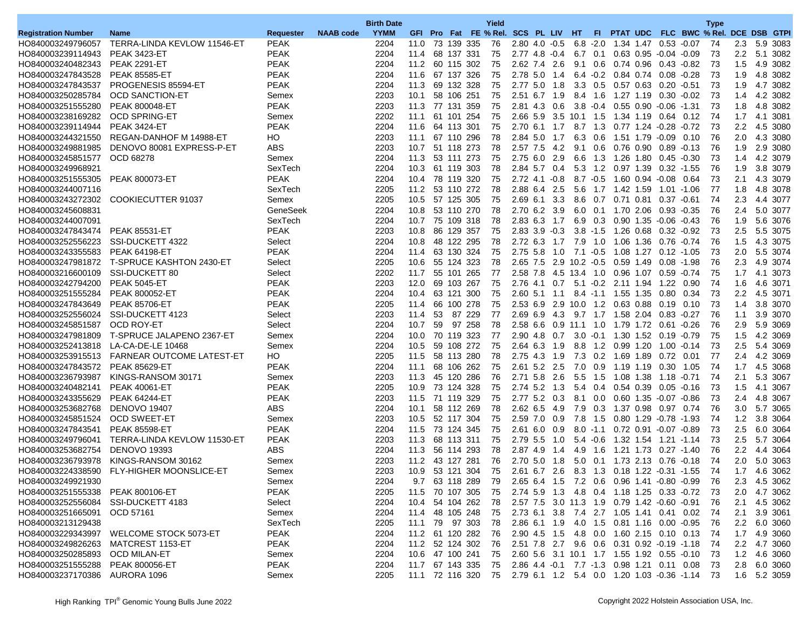|                               |                                                |             |                  | <b>Birth Date</b> |                 |    |            |                    | Yield                               |                   |                   |                        |                 |                                             |           |                               |                                                                  | <b>Type</b> |                  |                      |
|-------------------------------|------------------------------------------------|-------------|------------------|-------------------|-----------------|----|------------|--------------------|-------------------------------------|-------------------|-------------------|------------------------|-----------------|---------------------------------------------|-----------|-------------------------------|------------------------------------------------------------------|-------------|------------------|----------------------|
| <b>Registration Number</b>    | <b>Name</b>                                    | Requester   | <b>NAAB code</b> | <b>YYMM</b>       |                 |    |            |                    | GFI Pro Fat FE % Rel. SCS PL LIV HT |                   |                   |                        | - FL            |                                             |           |                               | PTAT UDC FLC BWC % Rel.                                          |             |                  | DCE DSB GTPI         |
| HO840003249796057             | TERRA-LINDA KEVLOW 11546-ET                    | <b>PEAK</b> |                  | 2204              | 11.0            |    |            | 73 139 335         | 76                                  | $2.80$ 4.0 $-0.5$ |                   |                        | $6.8 - 2.0$     | 1.34 1.47 0.53 -0.07                        |           |                               |                                                                  | 74          | 2.3              | 5.9 3083             |
| HO840003239114943             | <b>PEAK 3423-ET</b>                            | <b>PEAK</b> |                  | 2204              | 11.4            |    |            | 68 137 331         | 75                                  | $2.77$ 4.8 $-0.4$ |                   |                        | 6.7 0.1         |                                             |           | $0.63$ $0.95$ $-0.04$ $-0.09$ |                                                                  | 73          |                  | 2.2 5.1 3082         |
| HO840003240482343             | <b>PEAK 2291-ET</b>                            | <b>PEAK</b> |                  | 2204              | 11.2 60 115 302 |    |            |                    | 75                                  | 2.62 7.4 2.6      |                   | 9.1                    | 0.6             | 0.74 0.96                                   |           | $0.43 - 0.82$                 |                                                                  | 73          | 1.5              | 4.9 3082             |
| HO840003247843528             | <b>PEAK 85585-ET</b>                           | <b>PEAK</b> |                  | 2204              | 11.6            |    |            | 67 137 326         | 75                                  | 2.78 5.0          | 1.4               |                        |                 | 6.4 -0.2 0.84 0.74                          |           | $0.08 - 0.28$                 |                                                                  | 73          | 1.9              | 4.8 3082             |
| HO840003247843537             | PROGENESIS 85594-ET                            | <b>PEAK</b> |                  | 2204              | 11.3            |    |            | 69 132 328         | 75                                  | 2.77 5.0 1.8      |                   |                        |                 | 3.3 0.5 0.57 0.63                           |           | $0.20 - 0.51$                 |                                                                  | 73          | 1.9              | 4.7 3082             |
| HO840003250285784             | <b>OCD SANCTION-ET</b>                         | Semex       |                  | 2203              | 10.1            |    | 58 106 251 |                    | 75                                  | 2.51 6.7 1.9      |                   |                        | 8.4 1.6         | 1.27 1.19                                   |           | 0.30 -0.02                    |                                                                  | 73          | 1.4              | 4.2 3082             |
| HO840003251555280             | <b>PEAK 800048-ET</b>                          | <b>PEAK</b> |                  | 2203              | 11.3            |    |            | 77 131 359         | 75                                  | 2.81 4.3 0.6      |                   |                        | $3.8 - 0.4$     |                                             |           | $0.55$ $0.90$ $-0.06$ $-1.31$ |                                                                  | 73          | 1.8              | 4.8 3082             |
| HO840003238169282             | <b>OCD SPRING-ET</b>                           | Semex       |                  | 2202              | 11.1            |    |            | 61 101 254         | 75                                  |                   |                   | 2.66 5.9 3.5 10.1 1.5  |                 | 1.34 1.19                                   |           | 0.64 0.12                     |                                                                  | 74          | 1.7              | 4.1 3081             |
| HO840003239114944             | <b>PEAK 3424-ET</b>                            | <b>PEAK</b> |                  | 2204              | 11.6            |    | 64 113 301 |                    | 75                                  | 2.70 6.1 1.7      |                   |                        | 8.7 1.3         | 0.77 1.24 -0.28 -0.72                       |           |                               |                                                                  | 73          | $2.2\phantom{0}$ | 4.5 3080             |
| HO840003244321550             | REGAN-DANHOF M 14988-ET                        | HO          |                  | 2203              | 11.1            |    |            | 67 110 296         | 78                                  | $2.84$ 5.0        | 1.7               |                        | 6.3 0.6         |                                             |           | 1.51 1.79 -0.09               | 0.10                                                             | 76          | 2.0              | 4.3 3080             |
| HO840003249881985             | DENOVO 80081 EXPRESS-P-ET                      | ABS         |                  | 2203              | 10.7            |    |            | 51 118 273         | 78                                  | 2.57 7.5 4.2      |                   | 9.1                    | 0.6             | 0.76 0.90                                   |           | $0.89 - 0.13$                 |                                                                  | 76          | 1.9              | 2.9 3080             |
| HO840003245851577             | OCD 68278                                      | Semex       |                  | 2204              | 11.3 53 111 273 |    |            |                    | 75                                  | 2.75 6.0 2.9      |                   |                        |                 | 6.6 1.3 1.26 1.80 0.45 -0.30                |           |                               |                                                                  | 73          | 1.4              | 4.2 3079             |
| HO840003249968921             |                                                | SexTech     |                  | 2204              | 10.3            |    |            | 61 119 303         | 78                                  | 2.84 5.7 0.4      |                   |                        |                 | 5.3 1.2 0.97 1.39                           |           |                               | $0.32 - 1.55$                                                    | 76          | 1.9              | 3.8 3079             |
| HO840003251555305             | PEAK 800073-ET                                 | <b>PEAK</b> |                  | 2204              | 10.4            |    |            | 78 119 320         | 75                                  | $2.72$ 4.1 $-0.8$ |                   |                        | $8.7 - 0.5$     | 1.60 0.94 -0.08                             |           |                               | 0.64                                                             | 73          | 2.1              | 4.3 3079             |
| HO840003244007116             |                                                | SexTech     |                  | 2205              | 11.2            |    |            | 53 110 272         | 78                                  | 2.88 6.4 2.5      |                   |                        |                 | 5.6 1.7 1.42 1.59                           |           |                               | 1.01 -1.06                                                       | 77          | 1.8              | 4.8 3078             |
| HO840003243272302             | COOKIECUTTER 91037                             | Semex       |                  | 2205              | 10.5            |    |            | 57 125 305         | 75                                  | 2.69 6.1 3.3      |                   |                        | 8.6 0.7         | 0.71 0.81                                   |           | $0.37 - 0.61$                 |                                                                  | 74          | 2.3              | 4.4 3077             |
| HO840003245608831             |                                                | GeneSeek    |                  | 2204              | 10.8            |    |            | 53 110 270         | 78                                  | 2.70 6.2 3.9      |                   |                        | $6.0 \quad 0.1$ | 1.70 2.06                                   |           | 0.93 -0.35                    |                                                                  | 76          | 2.4              | 5.0 3077             |
| HO840003244007091             |                                                | SexTech     |                  | 2204              | 10.7            |    |            | 75 109 318         | 78                                  | 2.83 6.3 1.7      |                   |                        | 6.9 0.3         |                                             |           | $0.90$ 1.35 -0.06 -0.43       |                                                                  | 76          | 1.9              | 5.6 3076             |
| HO840003247843474             | <b>PEAK 85531-ET</b>                           | PEAK        |                  | 2203              | 10.8            |    |            | 86 129 357         | 75                                  | $2.83$ 3.9 $-0.3$ |                   |                        |                 | 3.8 -1.5 1.26 0.68 0.32 -0.92               |           |                               |                                                                  | 73          |                  | 2.5 5.5 3075         |
| HO840003252556223             | SSI-DUCKETT 4322                               | Select      |                  | 2204              | 10.8            |    |            | 48 122 295         | 78                                  | 2.72 6.3 1.7      |                   |                        | 7.9 1.0         |                                             | 1.06 1.36 | 0.76                          | $-0.74$                                                          | 76          | 1.5              | 4.3 3075             |
| HO840003243355583             | PEAK 64198-ET                                  | <b>PEAK</b> |                  | 2204              | 11.4            |    |            | 63 130 324         | 75                                  | 2.75 5.8          | 1.0               | 7.1 -0.5               |                 |                                             |           | 1.08 1.27 0.12 -1.05          |                                                                  | 73          | 2.0              | 5.5 3074             |
|                               |                                                |             |                  |                   |                 |    |            |                    |                                     |                   |                   |                        |                 |                                             |           |                               |                                                                  |             |                  |                      |
| HO840003247981872             | T-SPRUCE KASHTON 2430-ET<br>SSI-DUCKETT 80     | Select      |                  | 2205              | 10.6            |    |            | 55 124 323         | 78                                  |                   |                   | 2.65 7.5 2.9 10.2 -0.5 |                 | 0.59 1.49                                   |           | 0.08 -1.98                    |                                                                  | 76          | 2.3              | 4.9 3074<br>4.1 3073 |
| HO840003216600109             |                                                | Select      |                  | 2202              | 11.7            |    |            | 55 101 265         | 77                                  |                   |                   | 2.58 7.8 4.5 13.4 1.0  |                 | 0.96 1.07                                   |           |                               | $0.59 - 0.74$                                                    | 75          | 1.7              |                      |
| HO840003242794200             | <b>PEAK 5045-ET</b>                            | <b>PEAK</b> |                  | 2203              | 12.0            |    |            | 69 103 267         | 75                                  | 2.76 4.1 0.7      |                   |                        |                 | 5.1 -0.2 2.11 1.94                          |           | 1.22                          | 0.90                                                             | 74          | 1.6              | 4.6 3071             |
| HO840003251555284             | <b>PEAK 800052-ET</b>                          | <b>PEAK</b> |                  | 2204              | 10.4            |    |            | 63 121 300         | 75                                  |                   |                   |                        |                 | 2.60 5.1 1.1 8.4 -1.1 1.55 1.35 0.80 0.34   |           |                               |                                                                  | 73          |                  | 2.2 4.5 3071         |
| HO840003247843649             | PEAK 85706-ET                                  | <b>PEAK</b> |                  | 2205              | 11.4            |    |            | 66 100 278         | 75                                  |                   |                   |                        |                 | 2.53 6.9 2.9 10.0 1.2 0.63 0.88             |           | $0.19$ 0.10                   |                                                                  | 73          | 1.4              | 3.8 3070             |
| HO840003252556024             | SSI-DUCKETT 4123                               | Select      |                  | 2203              | 11.4            | 53 |            | 87 229             | 77                                  | $2.69$ 6.9 4.3    |                   |                        |                 | 9.7 1.7 1.58 2.04                           |           | 0.83 -0.27                    |                                                                  | 76          | 1.1              | 3.9 3070             |
| HO840003245851587             | OCD ROY-ET                                     | Select      |                  | 2204              | 10.7            | 59 |            | 97 258             | 78                                  |                   | 2.58 6.6 0.9 11.1 |                        | 1.0             |                                             |           | 1.79 1.72 0.61 -0.26          |                                                                  | 76          | 2.9              | 5.9 3069             |
| HO840003247981809             | T-SPRUCE JALAPENO 2367-ET                      | Semex       |                  | 2204              | 10.0            |    |            | 70 119 323         | 77                                  | 2.90 4.8 0.7      |                   |                        |                 | 3.0 -0.1 1.30 1.52 0.19 -0.79               |           |                               |                                                                  | 75          | 1.5              | 4.2 3069             |
| HO840003252413818             | LA-CA-DE-LE 10468                              | Semex       |                  | 2204              | 10.5            |    |            | 59 108 272         | 75                                  | $2.64$ 6.3        | 1.9               | 8.8                    | 1.2             | 0.99 1.20                                   |           | 1.00                          | $-0.14$                                                          | 73          | 2.5              | 5.4 3069             |
|                               | HO840003253915513    FARNEAR OUTCOME LATEST-ET | HO          |                  | 2205              | 11.5            |    |            | 58 113 280         | 78                                  | 2.75 4.3 1.9      |                   |                        |                 | 7.3 0.2 1.69 1.89                           |           | 0.72 0.01                     |                                                                  | 77          | 2.4              | 4.2 3069             |
| HO840003247843572             | <b>PEAK 85629-ET</b>                           | <b>PEAK</b> |                  | 2204              | 11.1            |    |            | 68 106 262         | 75                                  | 2.61 5.2 2.5      |                   |                        |                 | 7.0 0.9 1.19 1.19 0.30 1.05                 |           |                               |                                                                  | 74          | 1.7              | 4.5 3068             |
| HO840003236793987             | KINGS-RANSOM 30171                             | Semex       |                  | 2203              | 11.3            |    |            | 45 120 286         | 76                                  | $2.71$ 5.8        | 2.6               | 5.5                    | 1.5             | 1.08 1.38                                   |           | 1.18 -0.71                    |                                                                  | 74          | 2.1              | 5.3 3067             |
| HO840003240482141             | <b>PEAK 40061-ET</b>                           | <b>PEAK</b> |                  | 2205              | 10.9            |    |            | 73 124 328         | 75                                  | $2.74$ 5.2        | 1.3               | 5.4                    | 0.4             | 0.54 0.39                                   |           | 0.05                          | $-0.16$                                                          | 73          | 1.5              | 4.1 3067             |
| HO840003243355629             | <b>PEAK 64244-ET</b>                           | <b>PEAK</b> |                  | 2203              | 11.5 71 119 329 |    |            |                    | 75                                  | $2.77$ 5.2 0.3    |                   | 8.1                    | 0.0             | 0.60 1.35 -0.07 -0.86                       |           |                               |                                                                  | 73          | 2.4              | 4.8 3067             |
| HO840003253682768             | <b>DENOVO 19407</b>                            | ABS         |                  | 2204              | 10.1            |    |            | 58 112 269         | 78                                  | 2.62 6.5          | 4.9               |                        | 7.9 0.3         | 1.37 0.98                                   |           | 0.97                          | 0.74                                                             | 76          | 3.0              | 5.7 3065             |
| HO840003245851524             | <b>OCD SWEET-ET</b>                            | Semex       |                  | 2203              | 10.5            |    |            | 52 117 304         | 75                                  | $2.59$ $7.0$      | 0.9               |                        | 7.8 1.5         |                                             |           | $0.80$ 1.29 $-0.78$ $-1.93$   |                                                                  | 74          | 1.2              | 3.8 3064             |
| HO840003247843541             | <b>PEAK 85598-ET</b>                           | <b>PEAK</b> |                  | 2204              | 11.5            |    |            | 73 124 345         | 75                                  | $2.61$ 6.0 0.9    |                   |                        | $8.0 - 1.1$     |                                             |           | $0.72$ $0.91$ $-0.07$ $-0.89$ |                                                                  | 73          | 2.5              | 6.0 3064             |
| HO840003249796041             | TERRA-LINDA KEVLOW 11530-ET                    | <b>PEAK</b> |                  | 2203              | 11.3            |    |            | 68 113 311         | 75                                  | 2.79 5.5          | 1.0               |                        | $5.4 - 0.6$     | 1.32  1.54  1.21  -1.14                     |           |                               |                                                                  | 73          | 2.5              | 5.7 3064             |
| HO840003253682754             | <b>DENOVO 19393</b>                            | <b>ABS</b>  |                  | 2204              | 11.3            |    |            | 56 114 293         | 78                                  | 2.87 4.9          | 1.4               |                        | 4.9 1.6         |                                             | 1.21 1.73 | $0.27 - 1.40$                 |                                                                  | 76          | $2.2\phantom{0}$ | 4.4 3064             |
| HO840003236793978             | KINGS-RANSOM 30162                             | Semex       |                  | 2203              | 11.2 43 127 281 |    |            |                    | 76                                  | 2.70 5.0 1.8      |                   |                        |                 | 5.0 0.1 1.73 2.13 0.76 -0.18                |           |                               |                                                                  | 74          |                  | 2.0 5.0 3063         |
|                               | HO840003224338590 FLY-HIGHER MOONSLICE-ET      | Semex       |                  | 2203              | 10.9            |    |            | 53 121 304         | 75                                  |                   |                   |                        |                 | 2.61 6.7 2.6 8.3 1.3 0.18 1.22 -0.31 -1.55  |           |                               |                                                                  | 74          | 1.7              | 4.6 3062             |
| HO840003249921930             |                                                | Semex       |                  | 2204              |                 |    |            | 9.7 63 118 289     | 79                                  |                   |                   |                        |                 | 2.65 6.4 1.5 7.2 0.6 0.96 1.41 -0.80 -0.99  |           |                               |                                                                  | 76          |                  | 2.3 4.5 3062         |
| HO840003251555338             | PEAK 800106-ET                                 | PEAK        |                  | 2205              | 11.5            |    |            | 70 107 305         | 75                                  |                   |                   |                        |                 | 2.74 5.9 1.3 4.8 0.4 1.18 1.25 0.33 -0.72   |           |                               |                                                                  | -73         |                  | 2.0 4.7 3062         |
| HO840003252556084             | SSI-DUCKETT 4183                               | Select      |                  | 2204              | 10.4            |    |            | 54 104 262         | 78                                  |                   |                   |                        |                 | 2.57 7.5 3.0 11.3 1.9 0.79 1.42 -0.60 -0.91 |           |                               |                                                                  | -76         |                  | 2.1 4.5 3062         |
| HO840003251665091             | OCD 57161                                      | Semex       |                  | 2204              |                 |    |            | 11.4 48 105 248    | - 75                                |                   |                   |                        |                 | 2.73 6.1 3.8 7.4 2.7 1.05 1.41 0.41 0.02    |           |                               |                                                                  | -74         |                  | 2.1 3.9 3061         |
| HO840003213129438             |                                                | SexTech     |                  | 2205              | 11.1            |    |            | 79 97 303          | - 78                                |                   |                   |                        |                 | 2.86 6.1 1.9 4.0 1.5 0.81 1.16 0.00 -0.95   |           |                               |                                                                  | 76          |                  | 2.2 6.0 3060         |
|                               | HO840003229343997 WELCOME STOCK 5073-ET        | <b>PEAK</b> |                  | 2204              |                 |    |            | 11.2 61 120 282 76 |                                     |                   |                   |                        |                 | 2.90 4.5 1.5 4.8 0.0 1.60 2.15 0.10 0.13    |           |                               |                                                                  | -74         |                  | 1.7 4.9 3060         |
| HO840003249826263             | MATCREST 1153-ET                               | PEAK        |                  | 2204              |                 |    |            | 11.2 52 124 302 76 |                                     |                   |                   |                        |                 | 2.51 7.8 2.7 9.6 0.6 0.31 0.92 -0.19 -1.18  |           |                               |                                                                  | -74         |                  | 2.2 4.7 3060         |
| HO840003250285893             | <b>OCD MILAN-ET</b>                            | Semex       |                  | 2204              |                 |    |            | 10.6 47 100 241    | - 75                                |                   |                   |                        |                 | 2.60 5.6 3.1 10.1 1.7 1.55 1.92 0.55 -0.10  |           |                               |                                                                  | -73         |                  | 1.2 4.6 3060         |
| HO840003251555288             | PEAK 800056-ET                                 | <b>PEAK</b> |                  | 2204              |                 |    |            | 11.7 67 143 335 75 |                                     |                   |                   |                        |                 | 2.86 4.4 -0.1 7.7 -1.3 0.98 1.21 0.11 0.08  |           |                               |                                                                  | - 73        |                  | 2.8 6.0 3060         |
| HO840003237170386 AURORA 1096 |                                                | Semex       |                  | 2205              |                 |    |            |                    |                                     |                   |                   |                        |                 |                                             |           |                               | 11.1 72 116 320 75 2.79 6.1 1.2 5.4 0.0 1.20 1.03 -0.36 -1.14 73 |             |                  | 1.6 5.2 3059         |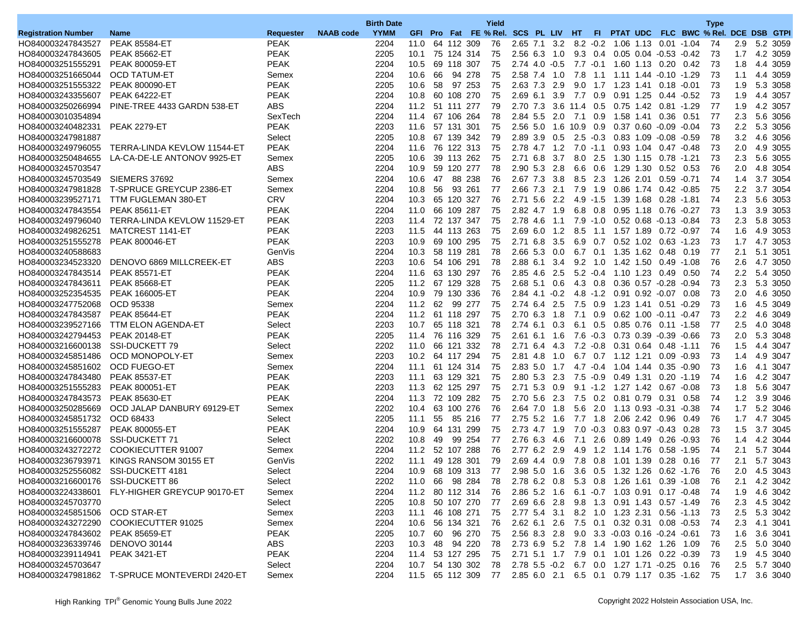|                                  |                                               |                  |                  | <b>Birth Date</b> |                 |    |                    | Yield                                                           |                   |        |                       |                 |                                             |                               |                                            | <b>Type</b>                             |               |              |
|----------------------------------|-----------------------------------------------|------------------|------------------|-------------------|-----------------|----|--------------------|-----------------------------------------------------------------|-------------------|--------|-----------------------|-----------------|---------------------------------------------|-------------------------------|--------------------------------------------|-----------------------------------------|---------------|--------------|
| <b>Registration Number</b>       | <b>Name</b>                                   | <b>Requester</b> | <b>NAAB</b> code | <b>YYMM</b>       |                 |    |                    | GFI Pro Fat FE % Rel. SCS PL LIV HT                             |                   |        |                       |                 |                                             |                               |                                            | FI PTAT UDC FLC BWC % Rel. DCE DSB GTPI |               |              |
| HO840003247843527                | <b>PEAK 85584-ET</b>                          | <b>PEAK</b>      |                  | 2204              | 11.0            |    | 64 112 309         | 76                                                              | 2.65 7.1 3.2      |        |                       |                 | 8.2 -0.2 1.06 1.13 0.01 -1.04               |                               |                                            | 74                                      |               | 2.9 5.2 3059 |
| HO840003247843605                | <b>PEAK 85662-ET</b>                          | <b>PEAK</b>      |                  | 2205              | 10.1            |    | 75 124 314         | 75                                                              | 2.56 6.3 1.0      |        |                       |                 | 9.3 0.4 0.05 0.04 -0.53 -0.42               |                               |                                            | 73                                      | 1.7           | 4.2 3059     |
| HO840003251555291                | <b>PEAK 800059-ET</b>                         | <b>PEAK</b>      |                  | 2204              | 10.5            |    | 69 118 307         | 75                                                              | $2.74$ 4.0 $-0.5$ |        |                       |                 | 7.7 -0.1 1.60 1.13 0.20                     |                               | 0.42                                       | 73                                      | 1.8           | 4.4 3059     |
| HO840003251665044                | <b>OCD TATUM-ET</b>                           | Semex            |                  | 2204              | 10.6            | 66 | 94 278             | 75                                                              | 2.58 7.4 1.0      |        |                       |                 | 7.8 1.1 1.11 1.44 -0.10 -1.29               |                               |                                            | 73                                      | 1.1           | 4.4 3059     |
| HO840003251555322                | <b>PEAK 800090-ET</b>                         | <b>PEAK</b>      |                  | 2205              | 10.6            | 58 | 97 253             | 75                                                              | 2.63 7.3 2.9      |        | 9.0                   |                 | 1.7 1.23 1.41 0.18 -0.01                    |                               |                                            | 73                                      | 1.9           | 5.3 3058     |
| HO840003243355607                | <b>PEAK 64222-ET</b>                          | <b>PEAK</b>      |                  | 2204              | 10.8            |    | 60 108 270         | 75                                                              | $2.69$ 6.1        | 3.9    |                       | 7.7 0.9         |                                             | 0.91 1.25 0.44 -0.52          |                                            | 73                                      | 1.9           | 4.4 3057     |
| HO840003250266994                | PINE-TREE 4433 GARDN 538-ET                   | <b>ABS</b>       |                  | 2204              | 11.2            |    | 51 111 277         | 79                                                              |                   |        | 2.70 7.3 3.6 11.4 0.5 |                 | 0.75 1.42 0.81 -1.29                        |                               |                                            | 77                                      | 1.9           | 4.2 3057     |
| HO840003010354894                |                                               | SexTech          |                  | 2204              | 11.4            |    | 67 106 264         | 78                                                              | 2.84 5.5 2.0      |        | 7.1 0.9               |                 |                                             |                               | 0.51                                       | 77                                      | 2.3           | 5.6 3056     |
| HO840003240482331                | <b>PEAK 2279-ET</b>                           | <b>PEAK</b>      |                  | 2203              | 11.6            |    | 57 131 301         | 75                                                              | $2.56$ 5.0        |        | 1.6 10.9 0.9          |                 |                                             | $0.37$ $0.60$ $-0.09$ $-0.04$ |                                            | 73                                      | 2.2           | 5.3 3056     |
| HO840003247981887                |                                               | Select           |                  | 2205              | 10.8            |    | 67 139 342         | 79                                                              | 2.89 3.9 0.5      |        | $2.5 - 0.3$           |                 | 0.83 1.09 -0.08 -0.59                       |                               |                                            | 78                                      | 3.2           | 4.6 3056     |
| HO840003249796055                | TERRA-LINDA KEVLOW 11544-ET                   | PEAK             |                  | 2204              | 11.6            |    | 76 122 313         | 75                                                              | 2.78 4.7 1.2      |        |                       |                 | 7.0 -1.1 0.93 1.04 0.47 -0.48               |                               |                                            | 73                                      |               | 2.0 4.9 3055 |
| HO840003250484655                | LA-CA-DE-LE ANTONOV 9925-ET                   | Semex            |                  | 2205              | 10.6            |    | 39 113 262         | 75                                                              | $2.71\;6.8$       | 3.7    |                       | 8.0 2.5         |                                             | 1.30 1.15 0.78 -1.21          |                                            | 73                                      | 2.3           | 5.6 3055     |
| HO840003245703547                |                                               | <b>ABS</b>       |                  | 2204              | 10.9            |    | 59 120 277         | 78                                                              | 2.90 5.3          | 2.8    | 6.6                   | 0.6             | 1.29 1.30                                   | 0.52                          | 0.53                                       | 76                                      | 2.0           | 4.8 3054     |
| HO840003245703549                | SIEMERS 37692                                 | Semex            |                  | 2204              | 10.6            | 47 | 88 238             | 76                                                              | 2.67 7.3 3.8      |        |                       |                 | 8.5 2.3 1.26 2.01 0.59 -0.71                |                               |                                            | 74                                      | 1.4           | 3.7 3054     |
| HO840003247981828                | T-SPRUCE GREYCUP 2386-ET                      | Semex            |                  | 2204              | 10.8            | 56 | 93 261             | 77                                                              | 2.66 7.3 2.1      |        |                       | 7.9 1.9         |                                             | 0.86 1.74 0.42 -0.85          |                                            | 75                                      | $2.2^{\circ}$ | 3.7 3054     |
|                                  |                                               | <b>CRV</b>       |                  | 2204              |                 |    |                    | 76                                                              | 2.71 5.6          |        |                       | $4.9 - 1.5$     | 1.39 1.68                                   |                               |                                            | 74                                      |               | 5.6 3053     |
| HO840003239527171                | TTM FUGLEMAN 380-ET                           |                  |                  |                   | 10.3            |    | 65 120 327         |                                                                 |                   | 2.2    |                       |                 |                                             | 0.28 -1.81                    |                                            |                                         | 2.3           |              |
| HO840003247843554                | <b>PEAK 85611-ET</b>                          | <b>PEAK</b>      |                  | 2204              | 11.0            |    | 66 109 287         | 75                                                              | 2.82 4.7 1.9      |        |                       | $6.8\quad0.8$   | 0.95 1.18                                   | 0.76 -0.27                    |                                            | 73                                      | 1.3           | 3.9 3053     |
| HO840003249796040                | TERRA-LINDA KEVLOW 11529-ET                   | <b>PEAK</b>      |                  | 2203              | 11.4            |    | 72 137 347         | 75                                                              | 2.78 4.6          | $-1.1$ |                       |                 | 7.9 -1.0 0.52 0.68 -0.13 -0.84              |                               |                                            | 73                                      | 2.3           | 5.8 3053     |
| HO840003249826251                | MATCREST 1141-ET                              | <b>PEAK</b>      |                  | 2203              | 11.5            |    | 44 113 263         | 75                                                              | $2.69$ 6.0        | 1.2    | 8.5                   | 1.1             | 1.57 1.89                                   | $0.72 - 0.97$                 |                                            | 74                                      | 1.6           | 4.9 3053     |
| HO840003251555278                | <b>PEAK 800046-ET</b>                         | <b>PEAK</b>      |                  | 2203              | 10.9            |    | 69 100 295         | 75                                                              | $2.71\;6.8$       | 3.5    |                       |                 | 6.9 0.7 0.52 1.02 0.63 -1.23                |                               |                                            | 73                                      | 1.7           | 4.7 3053     |
| HO840003240588683                |                                               | GenVis           |                  | 2204              | 10.3            |    | 58 119 281         | 78                                                              | $2.66$ 5.3 0.0    |        |                       |                 | 6.7 0.1 1.35 1.62 0.48                      |                               | 0.19                                       | 77                                      | 2.1           | 5.1 3051     |
| HO840003234523320                | DENOVO 6869 MILLCREEK-ET                      | <b>ABS</b>       |                  | 2203              | 10.6            |    | 54 106 291         | 78                                                              | 2.88 6.1          | 3.4    |                       | $9.2 \quad 1.0$ | 1.42 1.50                                   | 0.49                          | -1.08                                      | 76                                      | 2.6           | 4.7 3050     |
| HO840003247843514                | <b>PEAK 85571-ET</b>                          | <b>PEAK</b>      |                  | 2204              | 11.6            |    | 63 130 297         | 76                                                              | 2.85 4.6          | 2.5    |                       |                 | $5.2 -0.4$ 1.10 1.23                        | 0.49                          | 0.50                                       | 74                                      | 2.2           | 5.4 3050     |
| HO840003247843611                | <b>PEAK 85668-ET</b>                          | PEAK             |                  | 2205              | 11.2 67 129 328 |    |                    | 75                                                              | $2.68$ 5.1 0.6    |        |                       |                 | 4.3 0.8 0.36 0.57 -0.28 -0.94               |                               |                                            | 73                                      | 2.3           | 5.3 3050     |
| HO840003252354535                | <b>PEAK 166005-ET</b>                         | <b>PEAK</b>      |                  | 2204              | 10.9            |    | 79 130 336         | 76                                                              | $2.84$ 4.1 $-0.2$ |        |                       |                 | 4.8 -1.2 0.91 0.92 -0.07 0.08               |                               |                                            | 73                                      | 2.0           | 4.6 3050     |
| HO840003247752068                | OCD 95338                                     | Semex            |                  | 2204              | 11.2            | 62 | 99 277             | 75                                                              | 2.74 6.4          | 2.5    |                       | 7.5 0.9         | 1.23 1.41                                   | 0.51 -0.29                    |                                            | 73                                      | 1.6           | 4.5 3049     |
| HO840003247843587                | <b>PEAK 85644-ET</b>                          | PEAK             |                  | 2204              | 11.2            |    | 61 118 297         | 75                                                              | 2.70 6.3          | 1.8    |                       | 7.1 0.9         |                                             | $0.62$ 1.00 $-0.11$ $-0.47$   |                                            | 73                                      | 2.2           | 4.6 3049     |
| HO840003239527166                | TTM ELON AGENDA-ET                            | Select           |                  | 2203              | 10.7            |    | 65 118 321         | 78                                                              | 2.74 6.1 0.3      |        |                       | 6.1 0.5         |                                             | 0.85 0.76 0.11 -1.58          |                                            | 77                                      | 2.5           | 4.0 3048     |
| HO840003242794453                | <b>PEAK 20148-ET</b>                          | <b>PEAK</b>      |                  | 2205              | 11.4            |    | 76 116 329         | 75                                                              | $2.61$ 6.1        | 1.6    |                       | $7.6 - 0.3$     | 0.73 0.39                                   | $-0.39 - 0.66$                |                                            | 73                                      | 2.0           | 5.3 3048     |
| HO840003216600138                | SSI-DUCKETT 79                                | Select           |                  | 2202              | 11.0            |    | 66 121 332         | 78                                                              | 2.71 6.4          | 4.3    |                       |                 | 7.2 -0.8 0.31 0.64 0.48 -1.11               |                               |                                            | 76                                      | 1.5           | 4.4 3047     |
| HO840003245851486                | OCD MONOPOLY-ET                               | Semex            |                  | 2203              |                 |    | 10.2 64 117 294    | 75                                                              | 2.81 4.8 1.0      |        |                       |                 | 6.7  0.7  1.12  1.21                        | 0.09 -0.93                    |                                            | 73                                      | $1.4^{\circ}$ | 4.9 3047     |
| HO840003245851602                | <b>OCD FUEGO-ET</b>                           | Semex            |                  | 2204              | 11.1            |    | 61 124 314         | 75                                                              | $2.83$ 5.0        | 1.7    |                       |                 | 4.7 -0.4 1.04 1.44                          | 0.35                          | $-0.90$                                    | 73                                      | 1.6           | 4.1 3047     |
| HO840003247843480                | <b>PEAK 85537-ET</b>                          | <b>PEAK</b>      |                  | 2203              | 11.1            |    | 63 129 321         | 75                                                              | 2.80 5.3          | 2.3    |                       | $7.5 - 0.9$     | 0.49 1.31                                   |                               | $0.20 - 1.19$                              | 74                                      | 1.6           | 4.2 3047     |
| HO840003251555283                | <b>PEAK 800051-ET</b>                         | PEAK             |                  | 2203              | 11.3            |    | 62 125 297         | 75                                                              | 2.71 5.3 0.9      |        |                       |                 | 9.1 -1.2 1.27 1.42 0.67 -0.08               |                               |                                            | 73                                      | 1.8           | 5.6 3047     |
| HO840003247843573                | <b>PEAK 85630-ET</b>                          | <b>PEAK</b>      |                  | 2204              | 11.3            |    | 72 109 282         | 75                                                              | 2.70 5.6 2.3      |        |                       |                 | 7.5 0.2 0.81 0.79                           | 0.31 0.58                     |                                            | 74                                      | 1.2           | 3.9 3046     |
| HO840003250285669                | OCD JALAP DANBURY 69129-ET                    | Semex            |                  | 2202              | 10.4            |    | 63 100 276         | 76                                                              | 2.64 7.0          | 1.8    | 5.6                   |                 | 2.0 1.13 0.93 -0.31 -0.38                   |                               |                                            | 74                                      | 1.7           | 5.2 3046     |
| HO840003245851732                | OCD 68433                                     | Select           |                  | 2205              | 11.1            | 55 | 85 216             | 77                                                              | $2.75$ 5.2        | - 1.6  |                       | 7.7 1.8         |                                             | 2.06 2.42 0.96                | 0.49                                       | 76                                      | 1.7           | 4.7 3045     |
| HO840003251555287                | <b>PEAK 800055-ET</b>                         | PEAK             |                  | 2204              | 10.9            |    | 64 131 299         | 75                                                              | 2.73 4.7 1.9      |        |                       |                 | 7.0 -0.3 0.83 0.97 -0.43 0.28               |                               |                                            | 73                                      | 1.5           | 3.7 3045     |
| HO840003216600078                | <b>SSI-DUCKETT 71</b>                         | Select           |                  | 2202              | 10.8            | 49 | 99 254             | 77                                                              | 2.76 6.3          | -4.6   | 7.1                   | 2.6             | 0.89 1.49                                   | 0.26                          | $-0.93$                                    | 76                                      | 1.4           | 4.2 3044     |
| HO840003243272272                | <b>COOKIECUTTER 91007</b>                     | Semex            |                  | 2204              | 11.2            |    | 52 107 288         | 76                                                              | 2.77 6.2 2.9      |        |                       | 4.9 1.2         | 1.14 1.76                                   |                               | $0.58 - 1.95$                              | 74                                      | 2.1           | 5.7 3044     |
| HO840003236793971                | KINGS RANSOM 30155 ET                         | GenVis           |                  | 2202              | 11.1            |    | 49 128 301         | 79                                                              | 2.69 4.4 0.9      |        |                       |                 | 7.8 0.8 1.01 1.39 0.28 0.16                 |                               |                                            | 77                                      | 2.1           | 5.7 3043     |
| HO840003252556082                | SSI-DUCKETT 4181                              | Select           |                  | 2204              | 10.9            |    | 68 109 313         | 77                                                              | 2.98 5.0 1.6      |        |                       |                 | 3.6 0.5 1.32 1.26 0.62 -1.76                |                               |                                            | 76                                      | 2.0           | 4.5 3043     |
| HO840003216600176 SSI-DUCKETT 86 |                                               | Select           |                  | 2202              |                 |    | 11.0 66 98 284 78  |                                                                 |                   |        |                       |                 | 2.78 6.2 0.8 5.3 0.8 1.26 1.61 0.39 -1.08   |                               |                                            | 76                                      |               | 2.1 4.2 3042 |
| HO840003224338601                | FLY-HIGHER GREYCUP 90170-ET                   | Semex            |                  | 2204              |                 |    | 11.2 80 112 314 76 |                                                                 |                   |        |                       |                 | 2.86 5.2 1.6 6.1 -0.7 1.03 0.91 0.17 -0.48  |                               |                                            | -74                                     |               | 1.9 4.6 3042 |
| HO840003245703770                |                                               | Select           |                  | 2205              |                 |    | 10.8 50 107 270    | 77                                                              |                   |        |                       |                 | 2.69 6.6 2.8 9.8 1.3 0.91 1.43 0.57 -1.49   |                               |                                            | -76                                     |               | 2.3 4.5 3042 |
| HO840003245851506 OCD STAR-ET    |                                               |                  |                  | 2203              | 11.1            |    | 46 108 271         | 75                                                              | 2.77 5.4 3.1      |        |                       |                 | 8.2 1.0 1.23 2.31 0.56 -1.13                |                               |                                            |                                         |               | 2.5 5.3 3042 |
|                                  |                                               | Semex            |                  |                   |                 |    |                    |                                                                 |                   |        |                       |                 |                                             |                               |                                            | -73                                     |               |              |
| HO840003247843602 PEAK 85659-ET  | HO840003243272290 COOKIECUTTER 91025          | Semex            |                  | 2204              | 10.6 56 134 321 |    | 10.7 60 96 270     | 76                                                              |                   |        |                       |                 | 2.62 6.1 2.6 7.5 0.1 0.32 0.31 0.08 -0.53   |                               |                                            | 74                                      |               | 2.3 4.1 3041 |
|                                  |                                               | PEAK             |                  | 2205              |                 |    |                    | 75                                                              |                   |        |                       |                 | 2.56 8.3 2.8 9.0 3.3 -0.03 0.16 -0.24 -0.61 |                               |                                            | -73                                     |               | 1.6 3.6 3041 |
| HO840003236339746 DENOVO 30144   |                                               | ABS              |                  | 2203              | 10.3            |    | 48 94 220          | 78                                                              |                   |        |                       |                 | 2.73 6.9 5.2 7.8 1.4 1.90 1.62 1.26 1.09    |                               |                                            | -76                                     |               | 2.5 5.0 3040 |
| HO840003239114941                | <b>PEAK 3421-ET</b>                           | <b>PEAK</b>      |                  | 2204              | 11.4 53 127 295 |    |                    | - 75                                                            |                   |        |                       |                 | 2.71 5.1 1.7 7.9 0.1 1.01 1.26 0.22 -0.39   |                               |                                            | -73                                     |               | 1.9 4.5 3040 |
| HO840003245703647                |                                               | Select           |                  | 2204              |                 |    |                    | 10.7 54 130 302 78                                              |                   |        |                       |                 |                                             |                               | 2.78 5.5 -0.2 6.7 0.0 1.27 1.71 -0.25 0.16 | -76                                     |               | 2.5 5.7 3040 |
|                                  | HO840003247981862 T-SPRUCE MONTEVERDI 2420-ET | Semex            |                  | 2204              |                 |    |                    | 11.5 65 112 309 77 2.85 6.0 2.1 6.5 0.1 0.79 1.17 0.35 -1.62 75 |                   |        |                       |                 |                                             |                               |                                            |                                         |               | 1.7 3.6 3040 |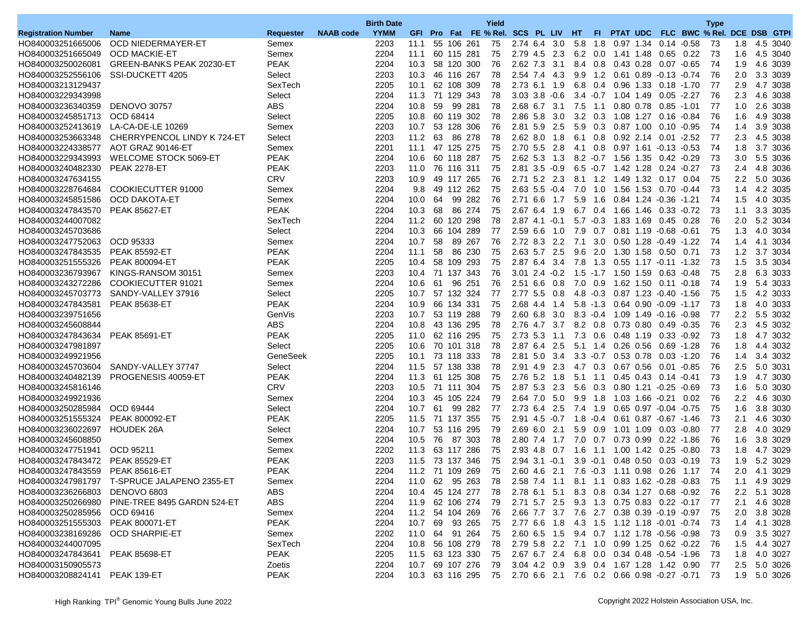|                                        |                                               |                  |                  | <b>Birth Date</b> |                 |    |            |                      | Yield                               |                      |            |             |                 |                                            |             |                              |                                                                  | <b>Type</b>                          |               |                      |
|----------------------------------------|-----------------------------------------------|------------------|------------------|-------------------|-----------------|----|------------|----------------------|-------------------------------------|----------------------|------------|-------------|-----------------|--------------------------------------------|-------------|------------------------------|------------------------------------------------------------------|--------------------------------------|---------------|----------------------|
| <b>Registration Number</b>             | <b>Name</b>                                   | <b>Requester</b> | <b>NAAB</b> code | <b>YYMM</b>       |                 |    |            |                      | GFI Pro Fat FE % Rel. SCS PL LIV HT |                      |            |             | FL.             |                                            |             |                              |                                                                  | PTAT UDC FLC BWC % Rel. DCE DSB GTPI |               |                      |
| HO840003251665006                      | OCD NIEDERMAYER-ET                            | Semex            |                  | 2203              | 11.1            |    | 55 106 261 |                      | 75                                  | 2.74 6.4 3.0         |            | 5.8         |                 | 1.8 0.97 1.34 0.14 -0.58                   |             |                              |                                                                  | 73                                   |               | 1.8 4.5 3040         |
| HO840003251665049                      | <b>OCD MACKIE-ET</b>                          | Semex            |                  | 2204              | 11.1            |    | 60 115 281 |                      | 75                                  | 2.79 4.5             | 2.3        |             | $6.2 \quad 0.0$ | 1.41 1.48                                  |             | 0.65 0.22                    |                                                                  | 73                                   | 1.6           | 4.5 3040             |
| HO840003250026081                      | GREEN-BANKS PEAK 20230-ET                     | <b>PEAK</b>      |                  | 2204              | 10.3            |    |            | 58 120 300           | 76                                  | 2.62 7.3             | 3.1        |             | 8.4 0.8         | 0.43 0.28                                  |             | $0.07 - 0.65$                |                                                                  | 74                                   | 1.9           | 4.6 3039             |
| HO840003252556106                      | SSI-DUCKETT 4205                              | Select           |                  | 2203              | 10.3            |    | 46 116 267 |                      | 78                                  | 2.54 7.4 4.3         |            |             |                 | 9.9 1.2 0.61 0.89 -0.13 -0.74              |             |                              |                                                                  | 76                                   |               | 2.0 3.3 3039         |
| HO840003213129437                      |                                               | SexTech          |                  | 2205              | 10.1            |    |            | 62 108 309           | 78                                  | 2.73 6.1 1.9         |            |             |                 | 6.8 0.4 0.96 1.33 0.18 -1.70               |             |                              |                                                                  | 77                                   | 2.9           | 4.7 3038             |
| HO840003229343998                      |                                               | Select           |                  | 2204              | 11.3            |    |            | 71 129 343           | 78                                  | $3.03$ $3.8$ $-0.6$  |            |             |                 | $3.4 -0.7$ 1.04 1.49                       |             | 0.05                         | $-2.27$                                                          | 76                                   | 2.3           | 4.6 3038             |
| HO840003236340359                      | <b>DENOVO 30757</b>                           | <b>ABS</b>       |                  | 2204              | 10.8            | 59 |            | 99 281               | 78                                  | 2.68 6.7 3.1         |            | 7.5         | 1.1             |                                            |             | 0.80 0.78 0.85 -1.01         |                                                                  | 77                                   | 1.0           | 2.6 3038             |
| HO840003245851713                      | OCD 68414                                     | Select           |                  | 2205              | 10.8            |    |            | 60 119 302           | 78                                  | 2.86 5.8 3.0         |            |             |                 | 3.2 0.3 1.08 1.27 0.16 -0.84               |             |                              |                                                                  | 76                                   | 1.6           | 4.9 3038             |
| HO840003252413619 LA-CA-DE-LE 10269    |                                               | Semex            |                  | 2203              | 10.7            |    |            | 53 128 306           | 76                                  | 2.81 5.9             | 2.5        |             | 5.9 0.3         | 0.87 1.00                                  |             | $0.10 - 0.95$                |                                                                  | 74                                   | 1.4           | 3.9 3038             |
| HO840003253663348                      | CHERRYPENCOL LINDY K 724-ET                   | Select           |                  | 2203              | 11.2            | 63 |            | 86 278               | 78                                  | $2.62$ 8.0           | 1.8        | 6.1         | 0.8             |                                            |             | 0.92 2.14 0.01 -2.52         |                                                                  | 77                                   | 2.3           | 4.5 3038             |
| HO840003224338577                      | AOT GRAZ 90146-ET                             | Semex            |                  | 2201              | 11.1 47 125 275 |    |            |                      | 75                                  | 2.70 5.5 2.8         |            |             |                 | 4.1 0.8 0.97 1.61 -0.13 -0.53              |             |                              |                                                                  | 74                                   |               | 1.8 3.7 3036         |
| HO840003229343993                      | <b>WELCOME STOCK 5069-ET</b>                  | <b>PEAK</b>      |                  | 2204              | 10.6            |    | 60 118 287 |                      | 75                                  | $2.62$ 5.3 1.3       |            |             |                 | 8.2 -0.7 1.56 1.35 0.42 -0.29              |             |                              |                                                                  | 73                                   | 3.0           | 5.5 3036             |
| HO840003240482330                      | <b>PEAK 2278-ET</b>                           | <b>PEAK</b>      |                  | 2203              | 11.0            |    | 76 116 311 |                      | 75                                  | $2.81$ $3.5$ $-0.9$  |            |             |                 | $6.5 -0.7$ 1.42 1.28                       |             | $0.24 - 0.27$                |                                                                  | 73                                   | 2.4           | 4.8 3036             |
| HO840003247634155                      |                                               | <b>CRV</b>       |                  | 2203              | 10.9            |    |            | 49 117 265           | 76                                  | 2.71 5.2 2.3         |            |             |                 | 8.1 1.2 1.49 1.32 0.17 0.04                |             |                              |                                                                  | 75                                   |               | 2.2 5.0 3036         |
| HO840003228764684                      | COOKIECUTTER 91000                            | Semex            |                  | 2204              | 9.8             |    |            | 49 112 262           | 75                                  | $2.63$ 5.5 $-0.4$    |            | 7.0         | 1.0             | 1.56 1.53 0.70 -0.44                       |             |                              |                                                                  | 73                                   | 1.4           | 4.2 3035             |
| HO840003245851586                      | <b>OCD DAKOTA-ET</b>                          | Semex            |                  | 2204              | 10.0            | 64 |            | 99 282               | 76                                  | $2.71\;6.6$          | 1.7        | 5.9         | 1.6             |                                            |             | 0.84 1.24 -0.36 -1.21        |                                                                  | 74                                   | 1.5           | 4.0 3035             |
| HO840003247843570                      | <b>PEAK 85627-ET</b>                          | <b>PEAK</b>      |                  | 2204              | 10.3            | 68 |            | 86 274               | 75                                  | 2.67 6.4             | 1.9        |             |                 | 6.7 0.4 1.66 1.46 0.33 0.72                |             |                              |                                                                  | 73                                   | 1.1           | 3.3 3035             |
| HO840003244007082                      |                                               | SexTech          |                  | 2204              | 11.2            |    |            | 60 120 298           | 78                                  | $2.87$ 4.1 $-0.1$    |            |             |                 | 5.7 -0.3 1.83 1.69 0.45 0.28               |             |                              |                                                                  | 76                                   |               | 2.0 5.2 3034         |
| HO840003245703686                      |                                               | Select           |                  | 2204              | 10.3            |    |            | 66 104 289           | 77                                  | $2.59$ 6.6           | 1.0        | 7.9         | 0.7             | 0.81 1.19 -0.68 -0.61                      |             |                              |                                                                  | 75                                   | 1.3           | 4.0 3034             |
| HO840003247752063                      | OCD 95333                                     | Semex            |                  | 2204              | 10.7            | 58 |            | 89 267               | 76                                  | 2.72 8.3 2.2         |            | 7.1         | 3.0             |                                            |             | 0.50 1.28 -0.49              | $-1.22$                                                          | 74                                   | 1.4           | 4.1 3034             |
| HO840003247843535                      | <b>PEAK 85592-ET</b>                          | PEAK             |                  | 2204              | 11.1            | 58 |            | 86 230               | 75                                  | 2.63 5.7 2.5         |            |             |                 | 9.6 2.0 1.30 1.58 0.50 0.71                |             |                              |                                                                  | 73                                   |               | 1.2 3.7 3034         |
| HO840003251555326                      | <b>PEAK 800094-ET</b>                         | PEAK             |                  | 2205              | 10.4            |    |            | 58 109 293           | 75                                  | 2.87 6.4             | 3.4        | 7.8         | 1.3             |                                            |             | 0.55 1.17 -0.11 -1.32        |                                                                  | 73                                   | 1.5           | 3.5 3034             |
| HO840003236793967                      | KINGS-RANSOM 30151                            | Semex            |                  | 2203              | 10.4            |    |            | 71 137 343           | 76                                  | $3.01$ $2.4$ $-0.2$  |            |             |                 | 1.5 -1.7 1.50 1.59                         |             |                              | $0.63 - 0.48$                                                    | 75                                   | 2.8           | 6.3 3033             |
| HO840003243272286                      | COOKIECUTTER 91021                            | Semex            |                  | 2204              | 10.6            | 61 |            | 96 251               | 76                                  | 2.51 6.6 0.8         |            |             |                 | 7.0 0.9 1.62 1.50 0.11 -0.18               |             |                              |                                                                  | 74                                   | 1.9           | 5.4 3033             |
| HO840003245703773                      | SANDY-VALLEY 37916                            | Select           |                  | 2205              | 10.7            |    |            | 57 132 324           | 77                                  | 2.77 5.5 0.8         |            |             |                 | 4.8 -0.3 0.87 1.23 -0.40 -1.56             |             |                              |                                                                  | 75                                   | 1.5           | 4.2 3033             |
| HO840003247843581                      | <b>PEAK 85638-ET</b>                          | <b>PEAK</b>      |                  | 2204              | 10.9            |    | 66 134 331 |                      | 75                                  | 2.68 4.4             | 1.4        |             |                 | 5.8 -1.3 0.64 0.90 -0.09 -1.17             |             |                              |                                                                  | 73                                   | 1.8           | 4.0 3033             |
| HO840003239751656                      |                                               | GenVis           |                  | 2203              | 10.7            |    |            | 53 119 288           | 79                                  | 2.60 6.8 3.0         |            |             |                 | 8.3 -0.4 1.09 1.49 -0.16 -0.98             |             |                              |                                                                  | 77                                   | $2.2^{\circ}$ | 5.5 3032             |
| HO840003245608844                      |                                               | <b>ABS</b>       |                  | 2204              | 10.8            |    |            | 43 136 295           | 78                                  | 2.76 4.7 3.7         |            |             | $8.2 \quad 0.8$ | 0.73 0.80 0.49 -0.35                       |             |                              |                                                                  | 76                                   | 2.3           | 4.5 3032             |
| HO840003247843634                      | <b>PEAK 85691-ET</b>                          | <b>PEAK</b>      |                  | 2205              | 11.0            |    |            | 62 116 295           | 75                                  | 2.73 5.3             | 1.1        |             | 7.3 0.6         | 0.48 1.19                                  |             | $0.33 - 0.92$                |                                                                  | 73                                   | 1.8           | 4.7 3032             |
| HO840003247981897                      |                                               | Select           |                  | 2205              | 10.6            |    |            | 70 101 318           | 78                                  | 2.87 6.4 2.5         |            |             |                 | 5.1 1.4 0.26 0.56                          |             | $0.69 - 1.28$                |                                                                  | 76                                   | 1.8           | 4.4 3032             |
| HO840003249921956                      |                                               | GeneSeek         |                  | 2205              | 10.1 73 118 333 |    |            |                      | 78                                  | 2.81 5.0 3.4         |            |             |                 | 3.3 -0.7 0.53 0.78 0.03 -1.20              |             |                              |                                                                  | 76                                   |               | 1.4 3.4 3032         |
| HO840003245703604                      | SANDY-VALLEY 37747                            | Select           |                  | 2204              | 11.5            |    |            | 57 138 338           | 78                                  | 2.91 4.9 2.3         |            |             | 4.7 0.3         | 0.67 0.56                                  |             | $0.01 - 0.85$                |                                                                  | 76                                   | $2.5\,$       | 5.0 3031             |
|                                        | PROGENESIS 40059-ET                           | <b>PEAK</b>      |                  | 2204              | 11.3            |    |            | 61 125 308           | 75                                  | 2.76 5.2             | 1.8        | $5.1$ 1.1   |                 |                                            | $0.45$ 0.43 | $0.14 - 0.41$                |                                                                  | 73                                   | 1.9           | 4.7 3030             |
| HO840003240482139                      |                                               | <b>CRV</b>       |                  |                   |                 |    |            |                      | 75                                  | 2.87 5.3 2.3         |            |             |                 |                                            |             |                              |                                                                  | 73                                   |               |                      |
| HO840003245816146                      |                                               |                  |                  | 2203              | 10.5            |    |            | 71 111 304           |                                     |                      |            |             |                 | 5.6 0.3 0.80 1.21 -0.25 -0.69              |             |                              |                                                                  | 76                                   | 1.6           | 5.0 3030             |
| HO840003249921936<br>HO840003250285984 | OCD 69444                                     | Semex<br>Select  |                  | 2204<br>2204      | 10.3<br>10.7    | 61 |            | 45 105 224<br>99 282 | 79<br>77                            | 2.64 7.0<br>2.73 6.4 | 5.0<br>2.5 | 9.9<br>7.4  | 1.8             |                                            |             |                              |                                                                  | 75                                   | 2.2<br>1.6    | 4.6 3030<br>3.8 3030 |
| HO840003251555324                      |                                               | <b>PEAK</b>      |                  |                   |                 |    |            | 71 137 355           |                                     |                      |            |             | 1.9             |                                            |             | $0.65$ 0.97 $-0.04$ $-0.75$  |                                                                  |                                      |               |                      |
|                                        | <b>PEAK 800092-ET</b>                         |                  |                  | 2205              | 11.5            |    |            |                      | 75                                  | 2.91 4.5 -0.7        |            |             | $1.8 - 0.4$     |                                            |             | 0.61 0.87 -0.67 -1.46        |                                                                  | 73                                   | 2.1           | 4.6 3030             |
| HO840003236022697 HOUDEK 26A           |                                               | Select           |                  | 2204              | 10.7            |    |            | 53 116 295           | 79                                  | 2.69 6.0 2.1         |            |             | 5.9 0.9         | 1.01 1.09 0.03 -0.80                       |             |                              |                                                                  | 77                                   |               | 2.8 4.0 3029         |
| HO840003245608850                      |                                               | Semex            |                  | 2204              | 10.5            | 76 |            | 87 303               | 78                                  | 2.80 7.4             | 1.7        | 7.0         | 0.7             | 0.73 0.99                                  |             |                              | $0.22 - 1.86$                                                    | 76                                   | 1.6           | 3.8 3029             |
| HO840003247751941                      | OCD 95211                                     | Semex            |                  | 2202              | 11.3            |    |            | 63 117 286           | 75                                  | 2.93 4.8 0.7         |            | 1.6         | 1.1             |                                            |             | 1.00 1.42 0.25 -0.80         |                                                                  | 73                                   | 1.8           | 4.7 3029             |
| HO840003247843472                      | <b>PEAK 85529-ET</b>                          | PEAK             |                  | 2203              | 11.5            |    |            | 73 137 346           | 75                                  | $2.94$ 3.1 $-0.1$    |            | $3.9 - 0.1$ |                 |                                            |             | $0.48$ $0.50$ $0.03$ $-0.19$ |                                                                  | 73                                   | 1.9           | 5.2 3029             |
| HO840003247843559                      | <b>PEAK 85616-ET</b>                          | <b>PEAK</b>      |                  | 2204              | 11.2            |    |            | 71 109 269           | 75                                  | 2.60 4.6             | - 2.1      |             |                 | 7.6 -0.3 1.11 0.98 0.26                    |             |                              | 1.17                                                             | 74                                   | 2.0           | 4.1 3029             |
|                                        | HO840003247981797 T-SPRUCE JALAPENO 2355-ET   | Semex            |                  | 2204              |                 |    |            | 11.0 62 95 263       | -78                                 |                      |            |             |                 | 2.58 7.4 1.1 8.1 1.1 0.83 1.62 -0.28 -0.83 |             |                              |                                                                  | 75                                   |               | 1.1 4.9 3029         |
| HO840003236266803 DENOVO 6803          |                                               | ABS              |                  | 2204              |                 |    |            | 10.4 45 124 277      | 78                                  |                      |            |             |                 | 2.78 6.1 5.1 8.3 0.8 0.34 1.27 0.68 -0.92  |             |                              |                                                                  | 76                                   |               | 2.2 5.1 3028         |
|                                        | HO840003250266980 PINE-TREE 8495 GARDN 524-ET | ABS              |                  | 2204              |                 |    |            | 11.9 62 106 274      | 79                                  |                      |            |             |                 | 2.71 5.7 2.5 9.3 1.3 0.75 0.83 0.22 -0.17  |             |                              |                                                                  | -77                                  |               | 2.1 4.6 3028         |
| HO840003250285956 OCD 69416            |                                               | Semex            |                  | 2204              | 11.2 54 104 269 |    |            |                      | 76                                  |                      |            |             |                 | 2.66 7.7 3.7 7.6 2.7 0.38 0.39 -0.19 -0.97 |             |                              |                                                                  | -75                                  |               | 2.0 3.8 3028         |
| HO840003251555303                      | <b>PEAK 800071-ET</b>                         | PEAK             |                  | 2204              | 10.7            | 69 |            | 93 265               | 75                                  |                      |            |             |                 | 2.77 6.6 1.8 4.3 1.5 1.12 1.18 -0.01 -0.74 |             |                              |                                                                  | -73                                  |               | 1.4 4.1 3028         |
| HO840003238169286 OCD SHARPIE-ET       |                                               | Semex            |                  | 2202              | 11.0 64 91 264  |    |            |                      | 75                                  |                      |            |             |                 | 2.60 6.5 1.5 9.4 0.7 1.12 1.78 -0.56 -0.98 |             |                              |                                                                  | 73                                   |               | 0.9 3.5 3027         |
| HO840003244007095                      |                                               | SexTech          |                  | 2204              |                 |    |            | 10.8 56 108 279      | 78                                  |                      |            |             |                 | 2.79 5.8 2.2 7.1 1.0 0.99 1.25 0.62 -0.22  |             |                              |                                                                  | 76                                   |               | 1.5 4.4 3027         |
| HO840003247843641                      | <b>PEAK 85698-ET</b>                          | <b>PEAK</b>      |                  | 2205              |                 |    |            | 11.5 63 123 330      | - 75                                |                      |            |             |                 | 2.67 6.7 2.4 6.8 0.0 0.34 0.48 -0.54 -1.96 |             |                              |                                                                  | -73                                  |               | 1.8 4.0 3027         |
| HO840003150905573                      |                                               | Zoetis           |                  | 2204              | 10.7 69 107 276 |    |            |                      | 79                                  |                      |            |             |                 |                                            |             |                              | 3.04 4.2 0.9 3.9 0.4 1.67 1.28 1.42 0.90                         | -77                                  |               | 2.5 5.0 3026         |
| HO840003208824141 PEAK 139-ET          |                                               | PEAK             |                  | 2204              |                 |    |            |                      |                                     |                      |            |             |                 |                                            |             |                              | 10.3 63 116 295 75 2.70 6.6 2.1 7.6 0.2 0.66 0.98 -0.27 -0.71 73 |                                      |               | 1.9 5.0 3026         |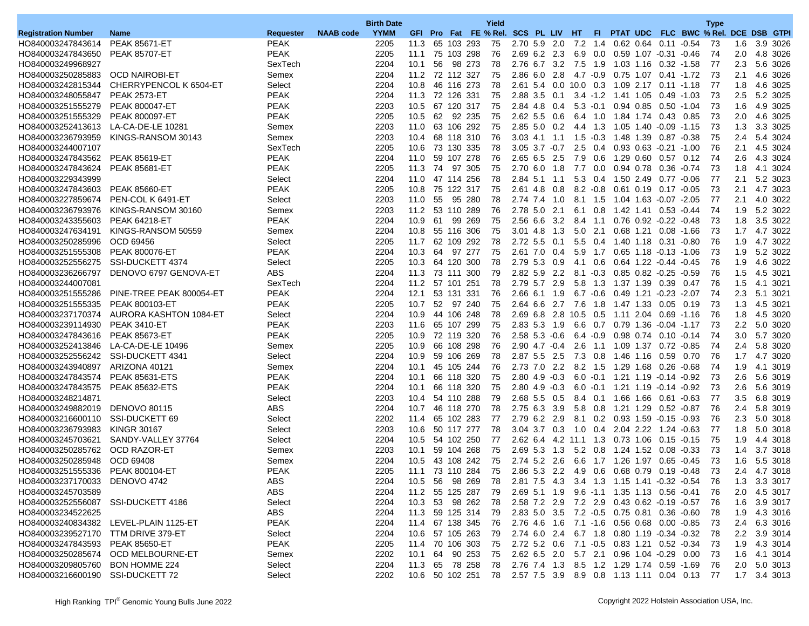|                                        |                                       |                        |                  | <b>Birth Date</b> |      |    |                    | Yield                               |                     |     |                       |                 |                                                      |                               |                                                                | <b>Type</b> |                  |                      |
|----------------------------------------|---------------------------------------|------------------------|------------------|-------------------|------|----|--------------------|-------------------------------------|---------------------|-----|-----------------------|-----------------|------------------------------------------------------|-------------------------------|----------------------------------------------------------------|-------------|------------------|----------------------|
| <b>Registration Number</b>             | <b>Name</b>                           | <b>Requester</b>       | <b>NAAB</b> code | <b>YYMM</b>       |      |    |                    | GFI Pro Fat FE % Rel. SCS PL LIV HT |                     |     |                       | FL.             |                                                      |                               | PTAT UDC FLC BWC % Rel. DCE DSB GTPI                           |             |                  |                      |
| HO840003247843614                      | <b>PEAK 85671-ET</b>                  | <b>PEAK</b>            |                  | 2205              | 11.3 |    | 65 103 293         | 75                                  | $2.70$ 5.9 2.0      |     |                       |                 | 7.2 1.4 0.62 0.64 0.11 -0.54                         |                               |                                                                | -73         | 1.6              | 3.9 3026             |
| HO840003247843650                      | <b>PEAK 85707-ET</b>                  | <b>PEAK</b>            |                  | 2205              | 11.1 |    | 75 103 298         | 76                                  | $2.69$ 6.2 2.3      |     |                       | 6.9 0.0         |                                                      | 0.59 1.07 -0.31 -0.46         |                                                                | 74          | 2.0 <sub>1</sub> | 4.8 3026             |
| HO840003249968927                      |                                       | SexTech                |                  | 2204              | 10.1 | 56 | 98 273             | 78                                  | 2.76 6.7 3.2        |     | 7.5 1.9               |                 | 1.03 1.16                                            | $0.32 - 1.58$                 |                                                                | 77          | 2.3              | 5.6 3026             |
| HO840003250285883                      | <b>OCD NAIROBI-ET</b>                 | Semex                  |                  | 2204              |      |    | 11.2 72 112 327    | 75                                  | 2.86 6.0 2.8        |     | 4.7 -0.9              |                 | 0.75 1.07 0.41 -1.72                                 |                               |                                                                | -73         | 2.1              | 4.6 3026             |
| HO840003242815344                      | CHERRYPENCOL K 6504-ET                | Select                 |                  | 2204              | 10.8 |    | 46 116 273         | 78                                  |                     |     |                       |                 | 2.61 5.4 0.0 10.0 0.3 1.09 2.17 0.11 -1.18           |                               |                                                                | 77          | 1.8              | 4.6 3025             |
| HO840003248055847                      | <b>PEAK 2573-ET</b>                   | <b>PEAK</b>            |                  | 2204              | 11.3 |    | 72 126 331         | 75                                  | 2.88 3.5 0.1        |     |                       |                 | 3.4 -1.2 1.41 1.05                                   | $0.49 - 1.03$                 |                                                                | 73          | 2.5              | 5.2 3025             |
| HO840003251555279                      | <b>PEAK 800047-ET</b>                 | <b>PEAK</b>            |                  | 2203              | 10.5 |    | 67 120 317         | 75                                  | 2.84 4.8 0.4        |     |                       |                 | $5.3 -0.1$ 0.94 0.85                                 | $0.50 - 1.04$                 |                                                                | 73          | 1.6              | 4.9 3025             |
| HO840003251555329                      | <b>PEAK 800097-ET</b>                 | <b>PEAK</b>            |                  | 2205              | 10.5 |    | 62 92 235          | 75                                  | $2.62$ 5.5 0.6      |     |                       |                 | 6.4 1.0 1.84 1.74 0.43 0.85                          |                               |                                                                | 73          | 2.0              | 4.6 3025             |
| HO840003252413613                      | LA-CA-DE-LE 10281                     | Semex                  |                  | 2203              | 11.0 |    | 63 106 292         | 75                                  | $2.85$ 5.0 0.2      |     |                       | 4.4 1.3         |                                                      | 1.05 1.40 -0.09 -1.15         |                                                                | 73          | 1.3              | 3.3 3025             |
| HO840003236793959                      | KINGS-RANSOM 30143                    | Semex                  |                  | 2203              | 10.4 |    | 68 118 310         | 76                                  | $3.03$ 4.1 1.1      |     |                       |                 | 1.5 -0.3 1.48 1.39 0.87 -0.38                        |                               |                                                                | 75          | 2.4              | 5.4 3024             |
| HO840003244007107                      |                                       | SexTech                |                  | 2205              |      |    | 10.6 73 130 335    | 78                                  | $3.05$ $3.7$ $-0.7$ |     |                       |                 | 2.5 0.4 0.93 0.63 -0.21 -1.00                        |                               |                                                                | 76          | 2.1              | 4.5 3024             |
| HO840003247843562                      | <b>PEAK 85619-ET</b>                  | <b>PEAK</b>            |                  | 2204              | 11.0 |    | 59 107 278         | 76                                  | 2.65 6.5 2.5        |     | 7.9                   | 0.6             | 1.29 0.60                                            | $0.57$ 0.12                   |                                                                | 74          | 2.6              | 4.3 3024             |
| HO840003247843624                      | <b>PEAK 85681-ET</b>                  | <b>PEAK</b>            |                  | 2205              | 11.3 | 74 | 97 305             | 75                                  | 2.70 6.0            | 1.8 | 7.7                   | $0.0\,$         | 0.94 0.78                                            | $0.36 - 0.74$                 |                                                                | 73          | 1.8              | 4.1 3024             |
| HO840003229343999                      |                                       | Select                 |                  | 2204              | 11.0 |    | 47 114 256         | 78                                  | 2.84 5.1 1.1        |     |                       |                 | 5.3 0.4 1.50 2.49 0.77 -0.06                         |                               |                                                                | 77          | 2.1              | 5.2 3023             |
| HO840003247843603                      | <b>PEAK 85660-ET</b>                  | <b>PEAK</b>            |                  | 2205              | 10.8 |    | 75 122 317         | 75                                  | 2.61 4.8            | 0.8 |                       | $8.2 - 0.8$     | 0.61 0.19                                            | 0.17 -0.05                    |                                                                | 73          | 2.1              | 4.7 3023             |
| HO840003227859674                      | PEN-COL K 6491-ET                     | Select                 |                  | 2203              | 11.0 | 55 | 95 280             | 78                                  | 2.74 7.4            | 1.0 |                       | 8.1 1.5         |                                                      | 1.04 1.63 -0.07 -2.05         |                                                                | 77          | 2.1              | 4.0 3022             |
| HO840003236793976                      | KINGS-RANSOM 30160                    | Semex                  |                  | 2203              | 11.2 |    | 53 110 289         | 76                                  | 2.78 5.0 2.1        |     |                       | $6.1 \quad 0.8$ | 1.42 1.41                                            | $0.53 - 0.44$                 |                                                                | 74          | 1.9              | 5.2 3022             |
| HO840003243355603                      | <b>PEAK 64218-ET</b>                  | <b>PEAK</b>            |                  | 2204              | 10.9 | 61 | 99 269             | 75                                  | 2.56 6.6 3.2        |     |                       |                 | 8.4 1.1 0.76 0.92 -0.22 -0.48                        |                               |                                                                | 73          | 1.8              | 3.5 3022             |
| HO840003247634191                      | KINGS-RANSOM 50559                    | Semex                  |                  | 2204              | 10.8 |    | 55 116 306         | 75                                  | $3.01$ 4.8          | 1.3 |                       | $5.0$ 2.1       | 0.68 1.21                                            | 0.08 -1.66                    |                                                                | 73          | 1.7              | 4.7 3022             |
| HO840003250285996                      | OCD 69456                             | Select                 |                  | 2205              | 11.7 |    | 62 109 292         | 78                                  | $2.72$ 5.5 0.1      |     |                       |                 | 5.5 0.4 1.40 1.18 0.31 -0.80                         |                               |                                                                | 76          | 1.9              | 4.7 3022             |
| HO840003251555308                      | <b>PEAK 800076-ET</b>                 | <b>PEAK</b>            |                  | 2204              | 10.3 | 64 | 97 277             | 75                                  | 2.61 7.0 0.4        |     |                       | 5.9 1.7         |                                                      | $0.65$ 1.18 $-0.13$ $-1.06$   |                                                                | 73          | 1.9              | 5.2 3022             |
| HO840003252556275                      | SSI-DUCKETT 4374                      | Select                 |                  | 2205              | 10.3 |    | 64 120 300         | 78                                  | 2.79 5.3 0.9        |     |                       | 4.1 0.6         |                                                      | 0.64 1.22 -0.44 -0.45         |                                                                | 76          | 1.9              | 4.6 3022             |
|                                        |                                       | <b>ABS</b>             |                  |                   |      |    | 73 111 300         |                                     |                     |     |                       |                 |                                                      | $0.85$ $0.82$ $-0.25$ $-0.59$ |                                                                | 76          |                  |                      |
| HO840003236266797<br>HO840003244007081 | DENOVO 6797 GENOVA-ET                 |                        |                  | 2204              | 11.3 |    |                    | 79<br>78                            | 2.82 5.9 2.2        |     |                       | $8.1 - 0.3$     |                                                      |                               |                                                                | 76          | 1.5              | 4.5 3021             |
|                                        |                                       | SexTech<br><b>PEAK</b> |                  | 2204              |      |    | 11.2 57 101 251    |                                     | 2.79 5.7 2.9        |     |                       |                 | 5.8 1.3 1.37 1.39 0.39 0.47<br>0.49 1.21 -0.23 -2.07 |                               |                                                                |             | 1.5              | 4.1 3021             |
| HO840003251555286<br>HO840003251555335 | PINE-TREE PEAK 800054-ET              | <b>PEAK</b>            |                  | 2204              | 12.1 |    | 53 131 331         | 76<br>75                            | 2.66 6.1 1.9        |     |                       | 6.7 -0.6        |                                                      |                               |                                                                | 74<br>73    | 2.3              | 5.1 3021<br>4.5 3021 |
|                                        | <b>PEAK 800103-ET</b>                 |                        |                  | 2205              | 10.7 |    | 52 97 240          |                                     | 2.64 6.6 2.7        |     | 7.6                   |                 |                                                      | 0.05 0.19                     |                                                                |             | 1.3              |                      |
| HO840003237170374                      | AURORA KASHTON 1084-ET                | Select                 |                  | 2204              | 10.9 |    | 44 106 248         | 78                                  |                     |     | 2.69 6.8 2.8 10.5 0.5 |                 |                                                      | 1.11 2.04 0.69 -1.16          |                                                                | 76          | 1.8              | 4.5 3020             |
| HO840003239114930                      | <b>PEAK 3410-ET</b>                   | <b>PEAK</b>            |                  | 2203              | 11.6 |    | 65 107 299         | 75                                  | 2.83 5.3 1.9        |     |                       | 6.6 0.7         |                                                      |                               |                                                                | 73          | $2.2\,$          | 5.0 3020             |
| HO840003247843616                      | <b>PEAK 85673-ET</b>                  | <b>PEAK</b>            |                  | 2205              | 10.9 |    | 72 119 320         | 76                                  | $2.58$ 5.3 $-0.6$   |     |                       | $6.4 - 0.9$     | 0.98 0.74                                            | $0.10 - 0.14$                 |                                                                | 74          | 3.0              | 5.7 3020             |
| HO840003252413846                      | LA-CA-DE-LE 10496                     | Semex                  |                  | 2205              | 10.9 |    | 66 108 298         | 76                                  | $2.90$ 4.7 $-0.4$   |     | 2.6                   |                 | 1.1 1.09 1.37 0.72 -0.85                             |                               |                                                                | 74          | 2.4              | 5.8 3020             |
| HO840003252556242                      | SSI-DUCKETT 4341                      | Select                 |                  | 2204              | 10.9 |    | 59 106 269         | 78                                  | 2.87 5.5 2.5        |     |                       |                 | 7.3 0.8 1.46 1.16 0.59 0.70                          |                               |                                                                | 76          | 1.7              | 4.7 3020             |
| HO840003243940897                      | ARIZONA 40121                         | Semex                  |                  | 2204              | 10.1 |    | 45 105 244         | 76                                  | 2.73 7.0 2.2        |     |                       | 8.2 1.5         | 1.29 1.68                                            | 0.26 -0.68                    |                                                                | 74          | 1.9              | 4.1 3019             |
| HO840003247843574                      | <b>PEAK 85631-ETS</b>                 | <b>PEAK</b>            |                  | 2204              | 10.1 |    | 66 118 320         | 75                                  | $2.80$ 4.9 $-0.3$   |     |                       |                 | $6.0 -0.1$ 1.21 1.19 $-0.14 -0.92$                   |                               |                                                                | 73          | 2.6              | 5.6 3019             |
| HO840003247843575                      | <b>PEAK 85632-ETS</b>                 | <b>PEAK</b>            |                  | 2204              | 10.1 |    | 66 118 320         | 75                                  | $2.80$ 4.9 $-0.3$   |     |                       |                 | $6.0 -0.1$ 1.21 1.19 $-0.14 -0.92$                   |                               |                                                                | 73          | 2.6              | 5.6 3019             |
| HO840003248214871                      |                                       | Select                 |                  | 2203              | 10.4 |    | 54 110 288         | 79                                  | 2.68 5.5 0.5        |     |                       |                 | 8.4 0.1 1.66 1.66 0.61 0.63                          |                               |                                                                | 77          | 3.5              | 6.8 3019             |
| HO840003249882019                      | <b>DENOVO 80115</b>                   | <b>ABS</b>             |                  | 2204              | 10.7 |    | 46 118 270         | 78                                  | 2.75 6.3 3.9        |     |                       | 5.8 0.8         | 1.21 1.29                                            | 0.52 -0.87                    |                                                                | 76          | 2.4              | 5.8 3019             |
| HO840003216600110                      | SSI-DUCKETT 69                        | Select                 |                  | 2202              | 11.4 |    | 65 102 283         | 77                                  | 2.79 6.2 2.9        |     |                       | 8.1 0.2         |                                                      | $0.93$ 1.59 $-0.15$ $-0.93$   |                                                                | 76          | 2.3              | 5.0 3018             |
| HO840003236793983                      | <b>KINGR 30167</b>                    | Select                 |                  | 2203              | 10.6 |    | 50 117 277         | 78                                  | $3.04$ $3.7$ $0.3$  |     | 1.0 0.4               |                 |                                                      | 2.04 2.22 1.24 -0.63          |                                                                | 77          | 1.8              | 5.0 3018             |
| HO840003245703621                      | SANDY-VALLEY 37764                    | Select                 |                  | 2204              | 10.5 |    | 54 102 250         | 77                                  | $2.62\;6.4$         |     | 4.2 11.1 1.3          |                 | 0.73 1.06                                            | $0.15 - 0.15$                 |                                                                | 75          | 1.9              | 4.4 3018             |
| HO840003250285762                      | <b>OCD RAZOR-ET</b>                   | Semex                  |                  | 2203              | 10.1 |    | 59 104 268         | 75                                  | $2.69$ 5.3 1.3      |     |                       | $5.2 \quad 0.8$ | 1.24 1.52                                            | $0.08 - 0.33$                 |                                                                | 73          | 1.4              | 3.7 3018             |
| HO840003250285948                      | OCD 69408                             | Semex                  |                  | 2204              | 10.5 |    | 43 108 242         | 75                                  | 2.74 5.2 2.6        |     |                       |                 | 6.6 1.7 1.26 1.97 0.65 -0.45                         |                               |                                                                | 73          | 1.6              | 5.5 3018             |
| HO840003251555336                      | PEAK 800104-ET                        | <b>PEAK</b>            |                  | 2205              | 11.1 |    | 73 110 284         | 75                                  | $2.86$ 5.3 2.2      |     | 4.9 0.6               |                 | 0.68 0.79 0.19 -0.48                                 |                               |                                                                | 73          | 2.4              | 4.7 3018             |
| HO840003237170033 DENOVO 4742          |                                       | ABS                    |                  | 2204              |      |    | 10.5 56 98 269     | - 78                                |                     |     |                       |                 |                                                      |                               | 2.81 7.5 4.3 3.4 1.3 1.15 1.41 -0.32 -0.54                     | -76         |                  | 1.3 3.3 3017         |
| HO840003245703589                      |                                       | ABS                    |                  | 2204              |      |    | 11.2 55 125 287 79 |                                     |                     |     |                       |                 | 2.69 5.1 1.9 9.6 -1.1 1.35 1.13 0.56 -0.41           |                               |                                                                | -76         |                  | 2.0 4.5 3017         |
| HO840003252556087 SSI-DUCKETT 4186     |                                       | Select                 |                  | 2204              |      |    | 10.3 53 98 262 78  |                                     |                     |     |                       |                 | 2.58 7.2 2.9 7.2 2.9 0.43 0.62 -0.19 -0.57           |                               |                                                                | -76         |                  | 1.6 3.9 3017         |
| HO840003234522625                      |                                       | ABS                    |                  | 2204              |      |    | 11.3 59 125 314 79 |                                     |                     |     |                       |                 | 2.83 5.0 3.5 7.2 -0.5 0.75 0.81 0.36 -0.60           |                               |                                                                | -78         | 1.9              | 4.3 3016             |
|                                        | HO840003240834382 LEVEL-PLAIN 1125-ET | <b>PEAK</b>            |                  | 2204              |      |    | 11.4 67 138 345 76 |                                     |                     |     |                       |                 | 2.76 4.6 1.6 7.1 -1.6 0.56 0.68 0.00 -0.85           |                               |                                                                | -73         |                  | 2.4 6.3 3016         |
| HO840003239527170 TTM DRIVE 379-ET     |                                       | Select                 |                  | 2204              |      |    | 10.6 57 105 263 79 |                                     |                     |     |                       |                 | 2.74 6.0 2.4 6.7 1.8 0.80 1.19 -0.34 -0.32           |                               |                                                                | -78         |                  | 2.2 3.9 3014         |
| HO840003247843593 PEAK 85650-ET        |                                       | <b>PEAK</b>            |                  | 2205              |      |    | 11.4 70 106 303 75 |                                     |                     |     |                       |                 | 2.72 5.2 0.6 7.1 -0.5 0.83 1.21 0.52 -0.34           |                               |                                                                | -73         | 1.9              | 4.3 3014             |
|                                        | HO840003250285674 OCD MELBOURNE-ET    | Semex                  |                  | 2202              | 10.1 |    | 64 90 253 75       |                                     |                     |     |                       |                 | 2.62 6.5 2.0 5.7 2.1 0.96 1.04 -0.29 0.00            |                               |                                                                | -73         |                  | 1.6 4.1 3014         |
| HO840003209805760                      | <b>BON HOMME 224</b>                  | Select                 |                  | 2204              |      |    | 11.3 65 78 258 78  |                                     |                     |     |                       |                 | 2.76 7.4 1.3 8.5 1.2 1.29 1.74 0.59 -1.69            |                               |                                                                | -76         |                  | 2.0 5.0 3013         |
| HO840003216600190 SSI-DUCKETT 72       |                                       | Select                 |                  | 2202              |      |    |                    |                                     |                     |     |                       |                 |                                                      |                               | 10.6 50 102 251 78 2.57 7.5 3.9 8.9 0.8 1.13 1.11 0.04 0.13 77 |             |                  | 1.7 3.4 3013         |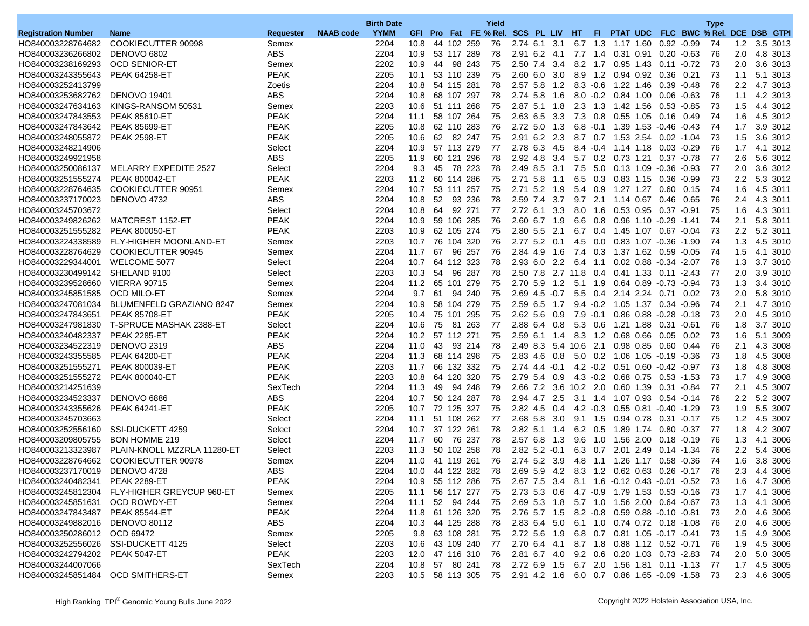|                                    |                                             |                  |                  | <b>Birth Date</b> |      |    |                                                                  | Yield |                       |     |          |                 |                                             |           |                               |               | <b>Type</b> |               |                                      |
|------------------------------------|---------------------------------------------|------------------|------------------|-------------------|------|----|------------------------------------------------------------------|-------|-----------------------|-----|----------|-----------------|---------------------------------------------|-----------|-------------------------------|---------------|-------------|---------------|--------------------------------------|
| <b>Registration Number</b>         | <b>Name</b>                                 | <b>Requester</b> | <b>NAAB code</b> | <b>YYMM</b>       |      |    | GFI Pro Fat FE % Rel. SCS PL LIV HT                              |       |                       |     |          | -FL -           |                                             |           |                               |               |             |               | PTAT UDC FLC BWC % Rel. DCE DSB GTPI |
| HO840003228764682                  | COOKIECUTTER 90998                          | Semex            |                  | 2204              | 10.8 |    | 44 102 259                                                       | 76    | 2.74 6.1 3.1          |     |          |                 | 6.7 1.3 1.17 1.60 0.92 -0.99                |           |                               |               | 74          | 1.2           | 3.5 3013                             |
| HO840003236266802                  | DENOVO 6802                                 | ABS              |                  | 2204              | 10.9 |    | 53 117 289                                                       | 78    | 2.91 6.2 4.1          |     |          |                 | 7.7 1.4 0.31 0.91 0.20 -0.63                |           |                               |               | 76          | 2.0           | 4.8 3013                             |
| HO840003238169293                  | <b>OCD SENIOR-ET</b>                        | Semex            |                  | 2202              | 10.9 | 44 | 98 243                                                           | 75    | 2.50 7.4              | 3.4 |          |                 | 8.2 1.7 0.95 1.43                           |           |                               | 0.11 -0.72    | 73          | 2.0           | 3.6 3013                             |
| HO840003243355643                  | <b>PEAK 64258-ET</b>                        | <b>PEAK</b>      |                  | 2205              | 10.1 |    | 53 110 239                                                       | 75    | $2.60\;6.0$           | 3.0 |          |                 | 8.9 1.2 0.94 0.92 0.36 0.21                 |           |                               |               | 73          | 1.1           | 5.1 3013                             |
| HO840003252413799                  |                                             | Zoetis           |                  | 2204              | 10.8 |    | 54 115 281                                                       | 78    | 2.57 5.8 1.2          |     |          |                 | 8.3 -0.6 1.22 1.46 0.39 -0.48               |           |                               |               | 76          | $2.2^{\circ}$ | 4.7 3013                             |
| HO840003253682762 DENOVO 19401     |                                             | <b>ABS</b>       |                  | 2204              | 10.8 |    | 68 107 297                                                       | 78    | 2.74 5.8              | 1.6 |          |                 | $8.0 -0.2$ $0.84$ 1.00                      |           |                               | $0.06 - 0.63$ | 76          | 1.1           | 4.2 3013                             |
| HO840003247634163                  | KINGS-RANSOM 50531                          | Semex            |                  | 2203              | 10.6 |    | 51 111 268                                                       | 75    | 2.87 5.1 1.8          |     |          |                 | 2.3 1.3 1.42 1.56                           |           | $0.53 - 0.85$                 |               | 73          | 1.5           | 4.4 3012                             |
| HO840003247843553                  | <b>PEAK 85610-ET</b>                        | <b>PEAK</b>      |                  | 2204              | 11.1 |    | 58 107 264                                                       | 75    | 2.63 6.5 3.3          |     |          |                 | 7.3 0.8 0.55 1.05                           |           | 0.16 0.49                     |               | 74          | 1.6           | 4.5 3012                             |
| HO840003247843642                  | PEAK 85699-ET                               | <b>PEAK</b>      |                  | 2205              | 10.8 |    | 62 110 283                                                       | 76    | $2.72$ 5.0            | 1.3 |          |                 | 6.8 -0.1 1.39 1.53 -0.46 -0.43              |           |                               |               | 74          | 1.7           | 3.9 3012                             |
| HO840003248055872 PEAK 2598-ET     |                                             | PEAK             |                  | 2205              | 10.6 | 62 | 82 247                                                           | 75    | 2.91 6.2 2.3          |     |          |                 | 8.7 0.7 1.53 2.54 0.02 -1.04                |           |                               |               | 73          | 1.5           | 3.6 3012                             |
| HO840003248214906                  |                                             | Select           |                  | 2204              | 10.9 |    | 57 113 279                                                       | 77    | 2.78 6.3 4.5          |     |          |                 | 8.4 -0.4 1.14 1.18 0.03 -0.29               |           |                               |               | 76          | 1.7           | 4.1 3012                             |
| HO840003249921958                  |                                             | <b>ABS</b>       |                  | 2205              | 11.9 |    | 60 121 296                                                       | 78    | 2.92 4.8 3.4          |     |          |                 | 5.7 0.2 0.73 1.21 0.37 -0.78                |           |                               |               | 77          | 2.6           | 5.6 3012                             |
|                                    | HO840003250086137 MELARRY EXPEDITE 2527     | Select           |                  | 2204              | 9.3  | 45 | 78 223                                                           | 78    | 2.49 8.5              | 3.1 |          | $7.5\quad 5.0$  |                                             |           | 0.13 1.09 -0.36 -0.93         |               | 77          | 2.0           | 3.6 3012                             |
| HO840003251555274                  | PEAK 800042-ET                              | <b>PEAK</b>      |                  | 2203              | 11.2 |    | 60 114 286                                                       | 75    | $2.71$ 5.8            | 1.1 |          | $6.5 \quad 0.3$ | 0.83 1.15                                   |           | $0.36 - 0.99$                 |               | 73          | 2.2           | 5.3 3012                             |
|                                    | HO840003228764635 COOKIECUTTER 90951        | Semex            |                  | 2204              | 10.7 |    | 53 111 257                                                       | 75    | 2.71 5.2 1.9          |     |          |                 | 5.4 0.9 1.27 1.27 0.60 0.15                 |           |                               |               | 74          | 1.6           | 4.5 3011                             |
| HO840003237170023                  | DENOVO 4732                                 | <b>ABS</b>       |                  | 2204              | 10.8 | 52 | 93 236                                                           | 78    | 2.59 7.4              | 3.7 |          |                 | $9.7$ 2.1 1.14 0.67                         |           | 0.46                          | 0.65          | 76          | 2.4           | 4.3 3011                             |
| HO840003245703672                  |                                             | Select           |                  | 2204              | 10.8 | 64 | 92 271                                                           | 77    | 2.72 6.1 3.3          |     |          | 8.0 1.6         | 0.53 0.95                                   |           | 0.37 -0.91                    |               | 75          | 1.6           | 4.3 3011                             |
| HO840003249826262 MATCREST 1152-ET |                                             | PEAK             |                  | 2204              | 10.9 |    | 59 106 285                                                       | 76    | 2.60 6.7 1.9          |     |          |                 | 6.6 0.8 0.96 1.10 -0.29 -1.41               |           |                               |               | 74          | 2.1           | 5.8 3011                             |
| HO840003251555282                  | <b>PEAK 800050-ET</b>                       | <b>PEAK</b>      |                  | 2203              | 10.9 |    | 62 105 274                                                       | 75    | 2.80 5.5 2.1          |     |          |                 | 6.7 0.4 1.45 1.07 0.67 -0.04                |           |                               |               | 73          | 2.2           | 5.2 3011                             |
| HO840003224338589                  | <b>FLY-HIGHER MOONLAND-ET</b>               | Semex            |                  | 2203              | 10.7 |    | 76 104 320                                                       | 76    | 2.77 5.2 0.1          |     |          | 4.5 0.0         |                                             |           | 0.83 1.07 -0.36 -1.90         |               | 74          | 1.3           | 4.5 3010                             |
|                                    | HO840003228764629 COOKIECUTTER 90945        | Semex            |                  | 2204              | 11.7 | 67 | 96 257                                                           | 76    | 2.84 4.9              | 1.6 |          |                 | 7.4 0.3 1.37 1.62 0.59 0.05                 |           |                               |               | 74          | 1.5           | 4.1 3010                             |
| HO840003229344001                  | WELCOME 5077                                | Select           |                  | 2204              | 10.7 |    | 64 112 323                                                       | 78    | 2.93 6.0 2.2          |     | 6.4 1.1  |                 |                                             |           | 0.02 0.88 -0.34 -2.07         |               | 76          | 1.3           | 3.7 3010                             |
| HO840003230499142 SHELAND 9100     |                                             | Select           |                  | 2203              | 10.3 | 54 | 96 287                                                           | 78    | 2.50 7.8 2.7 11.8 0.4 |     |          |                 |                                             |           | 0.41 1.33 0.11 -2.43          |               | 77          | 2.0           | 3.9 3010                             |
| HO840003239528660                  | <b>VIERRA 90715</b>                         | Semex            |                  | 2204              | 11.2 |    | 65 101 279                                                       | 75    | 2.70 5.9 1.2          |     |          | $5.1 \quad 1.9$ |                                             |           | 0.64 0.89 -0.73 -0.94         |               | 73          | 1.3           | 3.4 3010                             |
| HO840003245851585 OCD MILO-ET      |                                             | Semex            |                  | 2204              | 9.7  | 61 | 94 240                                                           | 75    | $2.69$ 4.5 $-0.7$     |     |          |                 | 5.5 0.4 2.14 2.24 0.71 0.02                 |           |                               |               | -73         | 2.0           | 5.8 3010                             |
|                                    | HO840003247081034 BLUMENFELD GRAZIANO 8247  | Semex            |                  | 2204              | 10.9 |    | 58 104 279                                                       | 75    | $2.59$ 6.5            | 1.7 |          |                 | 9.4 -0.2 1.05 1.37 0.34 -0.96               |           |                               |               | 74          | 2.1           | 4.7 3010                             |
| HO840003247843651                  | <b>PEAK 85708-ET</b>                        | <b>PEAK</b>      |                  | 2205              | 10.4 |    | 75 101 295                                                       | 75    | $2.62$ 5.6 0.9        |     | 7.9 -0.1 |                 |                                             |           | $0.86$ $0.88$ $-0.28$ $-0.18$ |               | 73          | 2.0           | 4.5 3010                             |
| HO840003247981830                  | T-SPRUCE MASHAK 2388-ET                     | Select           |                  | 2204              | 10.6 | 75 | 81 263                                                           | 77    | $2.88$ 6.4 0.8        |     |          |                 | 5.3 0.6 1.21 1.88 0.31 -0.61                |           |                               |               | 76          | 1.8           | 3.7 3010                             |
| HO840003240482337                  | <b>PEAK 2285-ET</b>                         | <b>PEAK</b>      |                  | 2204              |      |    | 10.2 57 112 271                                                  | 75    | $2.59$ 6.1 1.4        |     |          |                 | 8.3 1.2 0.68 0.66 0.05 0.02                 |           |                               |               | 73          | 1.6           | 5.1 3009                             |
| HO840003234522319                  | <b>DENOVO 2319</b>                          | ABS              |                  | 2204              | 11.0 | 43 | 93 214                                                           | 78    | 2.49 8.3 5.4 10.6 2.1 |     |          |                 | 0.98 0.85                                   |           | 0.60  0.44                    |               | 76          | 2.1           | 4.3 3008                             |
| HO840003243355585                  | <b>PEAK 64200-ET</b>                        | <b>PEAK</b>      |                  | 2204              | 11.3 |    | 68 114 298                                                       | 75    | 2.83 4.6 0.8          |     |          |                 | 5.0 0.2 1.06 1.05 -0.19 -0.36               |           |                               |               | 73          | 1.8           | 4.5 3008                             |
| HO840003251555271                  | <b>PEAK 800039-ET</b>                       | <b>PEAK</b>      |                  | 2203              | 11.7 |    | 66 132 332                                                       | 75    | $2.74$ 4.4 $-0.1$     |     |          |                 | 4.2 -0.2 0.51 0.60 -0.42 -0.97              |           |                               |               | 73          | 1.8           | 4.8 3008                             |
| HO840003251555272                  | PEAK 800040-ET                              | <b>PEAK</b>      |                  | 2203              | 10.8 |    | 64 120 320                                                       | 75    | 2.79 5.4 0.9          |     |          |                 | 4.3 -0.2 0.68 0.75                          |           | $0.53 - 1.53$                 |               | 73          | 1.7           | 4.9 3008                             |
| HO840003214251639                  |                                             | SexTech          |                  | 2204              | 11.3 | 49 | 94 248                                                           | 79    | 2.66 7.2 3.6 10.2 2.0 |     |          |                 | 0.60 1.39                                   |           | 0.31 -0.84                    |               | 77          | 2.1           | 4.5 3007                             |
| HO840003234523337                  | DENOVO 6886                                 | ABS              |                  | 2204              | 10.7 |    | 50 124 287                                                       | 78    | 2.94 4.7 2.5          |     |          |                 | 3.1 1.4 1.07 0.93 0.54 -0.14                |           |                               |               | 76          |               | 2.2 5.2 3007                         |
| HO840003243355626                  | <b>PEAK 64241-ET</b>                        | <b>PEAK</b>      |                  | 2205              | 10.7 |    | 72 125 327                                                       | 75    | 2.82 4.5 0.4          |     |          | $4.2 - 0.3$     | 0.55 0.81 -0.40 -1.29                       |           |                               |               | 73          | 1.9           | 5.5 3007                             |
| HO840003245703663                  |                                             | Select           |                  | 2204              | 11.1 |    | 51 108 262                                                       | 77    | 2.68 5.8 3.0          |     |          | $9.1 \quad 1.5$ | 0.94 0.78                                   |           | 0.31 -0.17                    |               | 75          | 1.2           | 4.5 3007                             |
| HO840003252556160                  | SSI-DUCKETT 4259                            | Select           |                  | 2204              | 10.7 |    | 37 122 261                                                       | 78    | 2.82 5.1 1.4          |     |          |                 | 6.2 0.5 1.89 1.74 0.80 -0.37                |           |                               |               | 77          | 1.8           | 4.2 3007                             |
| HO840003209805755                  | <b>BON HOMME 219</b>                        | Select           |                  | 2204              | 11.7 | 60 | 76 237                                                           | 78    | 2.576.8               | 1.3 |          |                 | 9.6 1.0 1.56 2.00 0.18 -0.19                |           |                               |               | 76          | 1.3           | 4.1 3006                             |
| HO840003213323987                  | PLAIN-KNOLL MZZRLA 11280-ET                 | Select           |                  | 2203              | 11.3 |    | 50 102 258                                                       | 78    | $2.82$ 5.2 $-0.1$     |     |          | 6.3 0.7         |                                             | 2.01 2.49 | $0.14 - 1.34$                 |               | 76          | $2.2\,$       | 5.4 3006                             |
|                                    | HO840003228764662 COOKIECUTTER 90978        | Semex            |                  | 2204              |      |    | 11.0 41 119 261                                                  | 76    | 2.74 5.2 3.9          |     |          |                 | 4.8 1.1 1.26 1.17 0.58 -0.36                |           |                               |               | 74          | 1.6           | 3.8 3006                             |
| HO840003237170019 DENOVO 4728      |                                             | <b>ABS</b>       |                  | 2204              |      |    | 10.0 44 122 282                                                  | 78    |                       |     |          |                 | 2.69 5.9 4.2 8.3 1.2 0.62 0.63 0.26 -0.17   |           |                               |               | 76          | 2.3           | 4.4 3006                             |
| HO840003240482341 PEAK 2289-ET     |                                             | PEAK             |                  | 2204              |      |    | 10.9 55 112 286 75                                               |       |                       |     |          |                 | 2.67 7.5 3.4 8.1 1.6 -0.12 0.43 -0.01 -0.52 |           |                               |               | -73         | 1.6           | 4.7 3006                             |
|                                    | HO840003245812304 FLY-HIGHER GREYCUP 960-ET | Semex            |                  | 2205              | 11.1 |    | 56 117 277                                                       | - 75  |                       |     |          |                 | 2.73 5.3 0.6 4.7 -0.9 1.79 1.53 0.53 -0.16  |           |                               |               | -73         |               | 1.7 4.1 3006                         |
| HO840003245851631 OCD ROWDY-ET     |                                             | Semex            |                  | 2204              | 11.1 |    | 52 94 244                                                        | 75    |                       |     |          |                 | 2.69 5.3 1.8 5.7 1.0 1.56 2.00 0.64 -0.67   |           |                               |               | -73         | 1.3           | 4.1 3006                             |
| HO840003247843487 PEAK 85544-ET    |                                             | PEAK             |                  | 2204              |      |    | 11.8 61 126 320                                                  | 75    |                       |     |          |                 | 2.76 5.7 1.5 8.2 -0.8 0.59 0.88 -0.10 -0.81 |           |                               |               | -73         | 2.0           | 4.6 3006                             |
| HO840003249882016 DENOVO 80112     |                                             | ABS              |                  | 2204              |      |    | 10.3 44 125 288                                                  | - 78  |                       |     |          |                 | 2.83 6.4 5.0 6.1 1.0 0.74 0.72 0.18 -1.08   |           |                               |               | 76          |               | 2.0 4.6 3006                         |
| HO840003250286012 OCD 69472        |                                             | Semex            |                  | 2205              |      |    | 9.8 63 108 281                                                   | 75    |                       |     |          |                 | 2.72 5.6 1.9 6.8 0.7 0.81 1.05 -0.17 -0.41  |           |                               |               | -73         |               | 1.5 4.9 3006                         |
| HO840003252556026 SSI-DUCKETT 4125 |                                             | Select           |                  | 2203              |      |    | 10.6 43 109 240 77                                               |       |                       |     |          |                 | 2.70 6.4 4.1 8.7 1.8 0.88 1.12 0.52 -0.71   |           |                               |               | -76         |               | 1.9 4.5 3006                         |
| HO840003242794202                  | <b>PEAK 5047-ET</b>                         | PEAK             |                  | 2203              |      |    | 12.0 47 116 310 76                                               |       |                       |     |          |                 | 2.81 6.7 4.0 9.2 0.6 0.20 1.03 0.73 -2.83   |           |                               |               | 74          |               | 2.0 5.0 3005                         |
| HO840003244007066                  |                                             | SexTech          |                  | 2204              |      |    | 10.8 57 80 241                                                   | 78    |                       |     |          |                 | 2.72 6.9 1.5 6.7 2.0 1.56 1.81 0.11 -1.13   |           |                               |               | - 77        |               | 1.7 4.5 3005                         |
| HO840003245851484 OCD SMITHERS-ET  |                                             | Semex            |                  | 2203              |      |    | 10.5 58 113 305 75 2.91 4.2 1.6 6.0 0.7 0.86 1.65 -0.09 -1.58 73 |       |                       |     |          |                 |                                             |           |                               |               |             |               | 2.3 4.6 3005                         |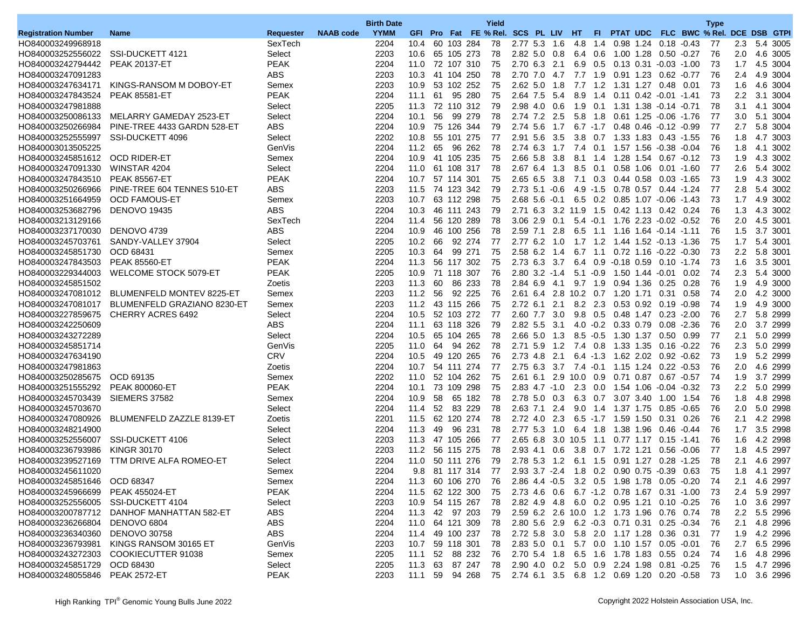|                                |                                             |                  |                  | <b>Birth Date</b> |      |    |                    | Yield                                                       |                     |      |                       |                 |                    |           |                                            |                         | <b>Type</b> |                  |              |
|--------------------------------|---------------------------------------------|------------------|------------------|-------------------|------|----|--------------------|-------------------------------------------------------------|---------------------|------|-----------------------|-----------------|--------------------|-----------|--------------------------------------------|-------------------------|-------------|------------------|--------------|
| <b>Registration Number</b>     | <b>Name</b>                                 | <b>Requester</b> | <b>NAAB</b> code | <b>YYMM</b>       |      |    |                    | GFI Pro Fat FE % Rel. SCS PL LIV HT                         |                     |      |                       | FL.             |                    |           |                                            | PTAT UDC FLC BWC % Rel. |             | DCE DSB GTPI     |              |
| HO840003249968918              |                                             | SexTech          |                  | 2204              | 10.4 |    | 60 103 284         | 78                                                          | 2.77 5.3 1.6        |      | 4.8                   | 1.4             |                    |           | $0.98$ 1.24 $0.18$ -0.43                   |                         | 77          | 2.3              | 5.4 3005     |
| HO840003252556022              | SSI-DUCKETT 4121                            | Select           |                  | 2203              | 10.6 |    | 65 105 273         | 78                                                          | $2.82\;5.0$         | 0.8  | 6.4                   | 0.6             | 1.00 1.28          |           | $0.50 - 0.27$                              |                         | 76          | 2.0              | 4.6 3005     |
| HO840003242794442              | <b>PEAK 20137-ET</b>                        | <b>PEAK</b>      |                  | 2204              | 11.0 |    | 72 107 310         | 75                                                          | 2.70 6.3            | 2.1  |                       | 6.9 0.5         | 0.13 0.31          |           | $-0.03 - 1.00$                             |                         | 73          | 1.7              | 4.5 3004     |
| HO840003247091283              |                                             | <b>ABS</b>       |                  | 2203              | 10.3 |    | 41 104 250         | 78                                                          | 2.70 7.0            | 4.7  | 7.7                   | 1.9             |                    |           | 0.91 1.23 0.62 -0.77                       |                         | 76          | 2.4              | 4.9 3004     |
| HO840003247634171              | KINGS-RANSOM M DOBOY-ET                     | Semex            |                  | 2203              | 10.9 |    | 53 102 252         | 75                                                          | $2.62$ 5.0          | 1.8  | 7.7                   | 1.2             | 1.31 1.27          |           | 0.48                                       | 0.01                    | 73          | 1.6              | 4.6 3004     |
| HO840003247843524              | <b>PEAK 85581-ET</b>                        | <b>PEAK</b>      |                  | 2204              | 11.1 | 61 | 95 280             | 75                                                          | 2.64 7.5            | -5.4 | 8.9                   | 1.4             |                    |           | $0.11$ $0.42$ $-0.01$ $-1.41$              |                         | 73          | 2.2              | 3.1 3004     |
| HO840003247981888              |                                             | Select           |                  | 2205              | 11.3 |    | 72 110 312         | 79                                                          | 2.98 4.0 0.6        |      | 1.9                   | 0.1             |                    |           | 1.31  1.38  -0.14  -0.71                   |                         | 78          | 3.1              | 4.1 3004     |
| HO840003250086133              | MELARRY GAMEDAY 2523-ET                     | Select           |                  | 2204              | 10.1 | 56 | 99 279             | 78                                                          | 2.74 7.2 2.5        |      |                       | $5.8$ 1.8       |                    |           | $0.61$ 1.25 $-0.06$ -1.76                  |                         | 77          | 3.0              | 5.1 3004     |
| HO840003250266984              | PINE-TREE 4433 GARDN 528-ET                 | <b>ABS</b>       |                  | 2204              | 10.9 |    | 75 126 344         | 79                                                          | 2.74 5.6            | 1.7  |                       | $6.7 - 1.7$     |                    |           | $0.48$ $0.46$ $-0.12$ $-0.99$              |                         | 77          | 2.7              | 5.8 3004     |
| HO840003252555997              | SSI-DUCKETT 4096                            | Select           |                  | 2202              | 10.8 |    | 55 101 275         | 77                                                          | $2.91\ 5.6$         | 3.5  | $3.8\quad 0.7$        |                 |                    |           | 1.33 1.83 0.43 -1.55                       |                         | 76          | 1.8              | 4.7 3003     |
| HO840003013505225              |                                             | GenVis           |                  | 2204              | 11.2 | 65 | 96 262             | 78                                                          | 2.74 6.3            | 1.7  |                       |                 |                    |           | 7.4 0.1 1.57 1.56 -0.38 -0.04              |                         | 76          | 1.8              | 4.1 3002     |
| HO840003245851612 OCD RIDER-ET |                                             | Semex            |                  | 2204              | 10.9 |    | 41 105 235         | 75                                                          | 2.66 5.8            | 3.8  | 8.1                   | 1.4             |                    | 1.28 1.54 | $0.67 - 0.12$                              |                         | 73          | 1.9              | 4.3 3002     |
| HO840003247091330              | WINSTAR 4204                                | Select           |                  | 2204              | 11.0 |    | 61 108 317         | 78                                                          | 2.67 6.4            | 1.3  | 8.5                   | 0.1             |                    | 0.58 1.06 |                                            | $0.01 - 1.60$           | 77          | 2.6              | 5.4 3002     |
| HO840003247843510              | <b>PEAK 85567-ET</b>                        | <b>PEAK</b>      |                  | 2204              | 10.7 |    | 57 114 301         | 75                                                          | $2.65$ 6.5 3.8      |      |                       | 7.1 0.3         | 0.44 0.58          |           | 0.03 -1.65                                 |                         | 73          | 1.9              | 4.3 3002     |
| HO840003250266966              | PINE-TREE 604 TENNES 510-ET                 | ABS              |                  | 2203              | 11.5 |    | 74 123 342         | 79                                                          | $2.73$ 5.1 $-0.6$   |      |                       | $4.9 - 1.5$     | 0.78 0.57          |           | 0.44 -1.24                                 |                         | 77          | 2.8              | 5.4 3002     |
| HO840003251664959              | <b>OCD FAMOUS-ET</b>                        | Semex            |                  | 2203              | 10.7 |    | 63 112 298         | 75                                                          | $2.68$ 5.6 $-0.1$   |      |                       | $6.5 \quad 0.2$ |                    |           | 0.85 1.07 -0.06                            | -1.43                   | 73          | 1.7              | 4.9 3002     |
| HO840003253682796              | <b>DENOVO 19435</b>                         | <b>ABS</b>       |                  | 2204              | 10.3 |    | 46 111 243         | 79                                                          |                     |      | 2.71 6.3 3.2 11.9 1.5 |                 | 0.42 1.13          |           | 0.42 0.24                                  |                         | 76          | 1.3              | 4.3 3002     |
| HO840003213129166              |                                             | SexTech          |                  | 2204              | 11.4 |    | 56 120 289         | 78                                                          | $3.06$ 2.9 0.1      |      |                       | $5.4 - 0.1$     |                    |           | 1.76 2.23 -0.02 -0.52                      |                         | 76          | 2.0              | 4.5 3001     |
| HO840003237170030              | DENOVO 4739                                 | <b>ABS</b>       |                  | 2204              | 10.9 |    | 46 100 256         | 78                                                          | 2.59 7.1            | 2.8  | 6.5                   | 1.1             |                    |           | 1.16  1.64  -0.14                          | $-1.11$                 | 76          | 1.5              | 3.7 3001     |
| HO840003245703761              | SANDY-VALLEY 37904                          | Select           |                  | 2205              | 10.2 | 66 | 92 274             | 77                                                          | 2.77 6.2 1.0        |      |                       | $1.7$ $1.2$     |                    |           | 1.44 1.52 -0.13 -1.36                      |                         | 75          | 1.7              | 5.4 3001     |
| HO840003245851730              | OCD 68431                                   | Semex            |                  | 2205              | 10.3 | 64 | 99 271             | 75                                                          | 2.58 6.2 1.4        |      |                       | $6.7$ 1.1       |                    |           | $0.72$ 1.16 $-0.22$ $-0.30$                |                         | 73          |                  | 2.2 5.8 3001 |
| HO840003247843503              | <b>PEAK 85560-ET</b>                        | <b>PEAK</b>      |                  | 2204              | 11.3 |    | 56 117 302         | 75                                                          | 2.73 6.3            | 3.7  | 6.4                   | 0.9             | $-0.18$ 0.59       |           |                                            | $0.10 - 1.74$           | 73          | 1.6              | 3.5 3001     |
| HO840003229344003              | <b>WELCOME STOCK 5079-ET</b>                | <b>PEAK</b>      |                  | 2205              | 10.9 |    | 71 118 307         | 76                                                          | $2.80$ $3.2$ $-1.4$ |      |                       | $5.1 - 0.9$     |                    |           | 1.50  1.44  -0.01                          | 0.02                    | 74          | 2.3              | 5.4 3000     |
| HO840003245851502              |                                             | Zoetis           |                  | 2203              | 11.3 | 60 | 86 233             | 78                                                          | 2.84 6.9 4.1        |      |                       | 9.7 1.9         | 0.94 1.36          |           | 0.25                                       | 0.28                    | 76          | 1.9              | 4.9 3000     |
|                                | HO840003247081012 BLUMENFELD MONTEV 8225-ET | Semex            |                  | 2203              | 11.2 | 56 | 92 225             | 76                                                          |                     |      | 2.61 6.4 2.8 10.2 0.7 |                 | 1.20 1.71          |           | 0.31                                       | 0.58                    | 74          | 2.0              | 4.2 3000     |
| HO840003247081017              | BLUMENFELD GRAZIANO 8230-ET                 | Semex            |                  | 2203              | 11.2 |    | 43 115 266         | 75                                                          | 2.72 6.1            | 2.1  |                       | 8.2 2.3         |                    | 0.53 0.92 | $0.19 - 0.98$                              |                         | 74          | 1.9              | 4.9 3000     |
| HO840003227859675              | <b>CHERRY ACRES 6492</b>                    | Select           |                  | 2204              | 10.5 |    | 52 103 272         | 77                                                          | 2.60 7.7            | 3.0  |                       | 9.8 0.5         | 0.48 1.47          |           |                                            | $0.23 - 2.00$           | 76          | 2.7              | 5.8 2999     |
| HO840003242250609              |                                             | <b>ABS</b>       |                  | 2204              | 11.1 |    | 63 118 326         | 79                                                          | 2.82 5.5 3.1        |      |                       |                 | 4.0 -0.2 0.33 0.79 |           |                                            | $0.08 - 2.36$           | 76          | 2.0              | 3.7 2999     |
| HO840003243272289              |                                             | Select           |                  | 2204              | 10.5 |    | 65 104 265         | 78                                                          | $2.66$ 5.0          | 1.3  | 8.5                   | $-0.5$          | 1.30 1.37          |           | 0.50                                       | 0.99                    | 77          | 2.1              | 5.0 2999     |
| HO840003245851714              |                                             | GenVis           |                  | 2205              | 11.0 | 64 | 94 262             | 78                                                          | 2.71 5.9            | 1.2  | 7.4 0.8               |                 | 1.33 1.35          |           | $0.16 - 0.22$                              |                         | 76          | 2.3              | 5.0 2999     |
| HO840003247634190              |                                             | <b>CRV</b>       |                  | 2204              | 10.5 |    | 49 120 265         | 76                                                          | 2.73 4.8            | -2.1 |                       |                 |                    |           | $6.4$ -1.3 1.62 2.02 0.92 -0.62            |                         | 73          | 1.9              | 5.2 2999     |
| HO840003247981863              |                                             | Zoetis           |                  | 2204              | 10.7 |    | 54 111 274         | 77                                                          | 2.75 6.3            | 3.7  | $7.4 - 0.1$           |                 | 1.15 1.24          |           | $0.22 - 0.53$                              |                         | 76          | 2.0              | 4.6 2999     |
| HO840003250285675              | OCD 69135                                   | Semex            |                  | 2202              | 11.0 |    | 52 104 262         | 75                                                          | $2.61$ 6.1          | 2.9  | 10.0                  | 0.9             | 0.71 0.87          |           | $0.67 - 0.57$                              |                         | 74          | 1.9              | 3.7 2999     |
| HO840003251555292              | <b>PEAK 800060-ET</b>                       | <b>PEAK</b>      |                  | 2204              | 10.1 |    | 73 109 298         | 75                                                          | $2.83$ 4.7 $-1.0$   |      |                       | $2.3 \quad 0.0$ |                    |           | 1.54 1.06 -0.04 -0.32                      |                         | 73          | $2.2\phantom{0}$ | 5.0 2999     |
| HO840003245703439              | SIEMERS 37582                               | Semex            |                  | 2204              | 10.9 | 58 | 65 182             | 78                                                          | 2.78 5.0            | 0.3  |                       | 6.3 0.7         | 3.07 3.40          |           | 1.00                                       | 1.54                    | 76          | 1.8              | 4.8 2998     |
| HO840003245703670              |                                             | Select           |                  | 2204              | 11.4 | 52 | 83 229             | 78                                                          | 2.63 7.1            | 2.4  | 9.0                   | 1.4             | 1.37 1.75          |           |                                            | $0.85 - 0.65$           | 76          | 2.0              | 5.0 2998     |
| HO840003247080926              | BLUMENFELD ZAZZLE 8139-ET                   | Zoetis           |                  | 2201              | 11.5 |    | 62 120 274         | 78                                                          | 2.72 4.0 2.3        |      | 6.5                   | $-1.7$          | 1.59 1.50          |           |                                            | $0.31$ 0.26             | 76          | 2.1              | 4.2 2998     |
| HO840003248214900              |                                             | Select           |                  | 2204              | 11.3 | 49 | 96 231             | 78                                                          | 2.77 5.3            | 1.0  |                       | 6.4 1.8         | 1.38 1.96          |           | 0.46 -0.44                                 |                         | 76          | 1.7              | 3.5 2998     |
| HO840003252556007              | SSI-DUCKETT 4106                            | Select           |                  | 2203              | 11.3 |    | 47 105 266         | 77                                                          | $2.65$ $6.8$        | 3.0  | 10.5                  | 1.1             | $0.77$ 1.17        |           | 0.15                                       | $-1.41$                 | 76          | 1.6              | 4.2 2998     |
| HO840003236793986              | <b>KINGR 30170</b>                          | Select           |                  | 2203              | 11.2 |    | 56 115 275         | 78                                                          | 2.93 4.1 0.6        |      | 3.8                   | 0.7             | 1.72 1.21          |           | 0.56                                       | $-0.06$                 | 77          | 1.8              | 4.5 2997     |
| HO840003239527169              | TTM DRIVE ALFA ROMEO-ET                     | Select           |                  | 2204              | 11.0 |    | 50 111 276         | 79                                                          | 2.78 5.3 1.2        |      | 6.1 1.5               |                 |                    |           | 0.91 1.27 0.28 -1.25                       |                         | 78          | 2.1              | 4.6 2997     |
| HO840003245611020              |                                             | Semex            |                  | 2204              | 9.8  |    | 81 117 314         | 77                                                          | $2.93$ $3.7$ $-2.4$ |      |                       |                 |                    |           | 1.8 0.2 0.90 0.75 -0.39 0.63               |                         | 75          | 1.8              | 4.1 2997     |
| HO840003245851646              | OCD 68347                                   | Semex            |                  | 2204              |      |    | 11.3 60 106 270 76 |                                                             |                     |      |                       |                 |                    |           | 2.86 4.4 -0.5 3.2 0.5 1.98 1.78 0.05 -0.20 |                         | -74         |                  | 2.1 4.6 2997 |
| HO840003245966699              | <b>PEAK 455024-ET</b>                       | <b>PEAK</b>      |                  | 2204              |      |    | 11.5 62 122 300 75 |                                                             |                     |      |                       |                 |                    |           | 2.73 4.6 0.6 6.7 -1.2 0.78 1.67 0.31 -1.00 |                         | -73         |                  | 2.4 5.9 2997 |
| HO840003252556005              | SSI-DUCKETT 4104                            | Select           |                  | 2203              |      |    | 10.9 54 115 267    | 78                                                          |                     |      |                       |                 |                    |           | 2.82 4.9 4.8 6.0 0.2 0.95 1.21 0.10 -0.25  |                         | 76          |                  | 1.0 3.6 2997 |
|                                | HO840003200787712 DANHOF MANHATTAN 582-ET   | ABS              |                  | 2204              |      |    | 11.3 42 97 203     | -79                                                         |                     |      |                       |                 |                    |           | 2.59 6.2 2.6 10.0 1.2 1.73 1.96 0.76 0.74  |                         | 78          |                  | 2.2 5.5 2996 |
| HO840003236266804              | DENOVO 6804                                 | ABS              |                  | 2204              |      |    | 11.0 64 121 309 78 |                                                             |                     |      |                       |                 |                    |           | 2.80 5.6 2.9 6.2 -0.3 0.71 0.31 0.25 -0.34 |                         | -76         |                  | 2.1 4.8 2996 |
| HO840003236340360              | <b>DENOVO 30758</b>                         | ABS              |                  | 2204              |      |    | 11.4 49 100 237 78 |                                                             |                     |      |                       |                 |                    |           | 2.72 5.8 3.0 5.8 2.0 1.17 1.28 0.36 0.31   |                         | -77         |                  | 1.9 4.2 2996 |
| HO840003236793981              | KINGS RANSOM 30165 ET                       | GenVis           |                  | 2203              | 10.7 |    | 59 118 301 78      |                                                             |                     |      |                       |                 |                    |           | 2.83 5.0 0.1 5.7 0.0 1.10 1.57 0.05 -0.01  |                         | -76         |                  | 2.7 6.5 2996 |
| HO840003243272303              | COOKIECUTTER 91038                          | Semex            |                  | 2205              | 11.1 |    | 52 88 232 76       |                                                             |                     |      |                       |                 |                    |           | 2.70 5.4 1.8 6.5 1.6 1.78 1.83 0.55 0.24   |                         | 74          |                  | 1.6 4.8 2996 |
| HO840003245851729              | OCD 68430                                   | Select           |                  | 2205              |      |    | 11.3 63 87 247 78  |                                                             |                     |      |                       |                 |                    |           | 2.90 4.0 0.2 5.0 0.9 2.24 1.98 0.81 -0.25  |                         | -76         |                  | 1.5 4.7 2996 |
| HO840003248055846 PEAK 2572-ET |                                             | <b>PEAK</b>      |                  | 2203              |      |    |                    | 11.1 59 94 268 75 2.74 6.1 3.5 6.8 1.2 0.69 1.20 0.20 -0.58 |                     |      |                       |                 |                    |           |                                            |                         | - 73        |                  | 1.0 3.6 2996 |